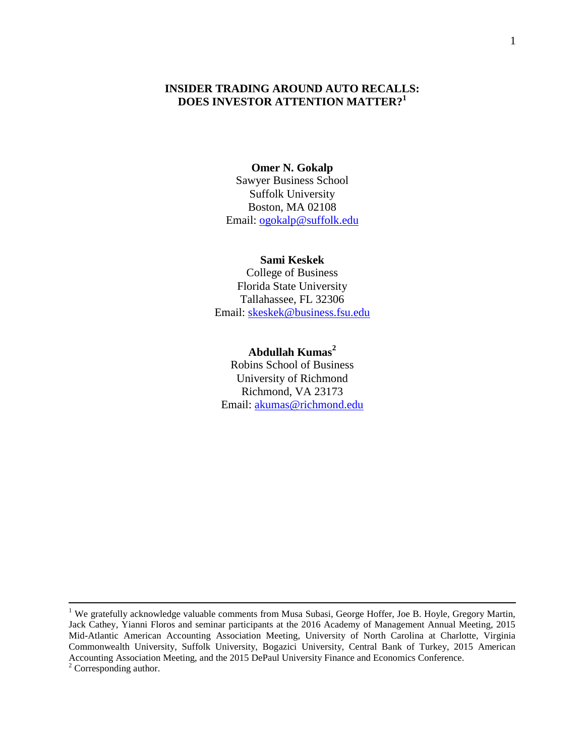# **INSIDER TRADING AROUND AUTO RECALLS: DOES INVESTOR ATTENTION MATTER?<sup>1</sup>**

#### **Omer N. Gokalp**

Sawyer Business School Suffolk University Boston, MA 02108 Email: [ogokalp@suffolk.edu](mailto:ogokalp@suffolk.edu)

#### **Sami Keskek**

College of Business Florida State University Tallahassee, FL 32306 Email: [skeskek@business.fsu.edu](mailto:skeskek@business.fsu.edu)

#### **Abdullah Kumas<sup>2</sup>**

Robins School of Business University of Richmond Richmond, VA 23173 Email: [akumas@richmond.edu](mailto:akumas@richmond.edu)

 $\overline{a}$ 

<sup>&</sup>lt;sup>1</sup> We gratefully acknowledge valuable comments from Musa Subasi, George Hoffer, Joe B. Hoyle, Gregory Martin, Jack Cathey, Yianni Floros and seminar participants at the 2016 Academy of Management Annual Meeting, 2015 Mid-Atlantic American Accounting Association Meeting, University of North Carolina at Charlotte, Virginia Commonwealth University, Suffolk University, Bogazici University, Central Bank of Turkey, 2015 American Accounting Association Meeting, and the 2015 DePaul University Finance and Economics Conference. <sup>2</sup> Corresponding author.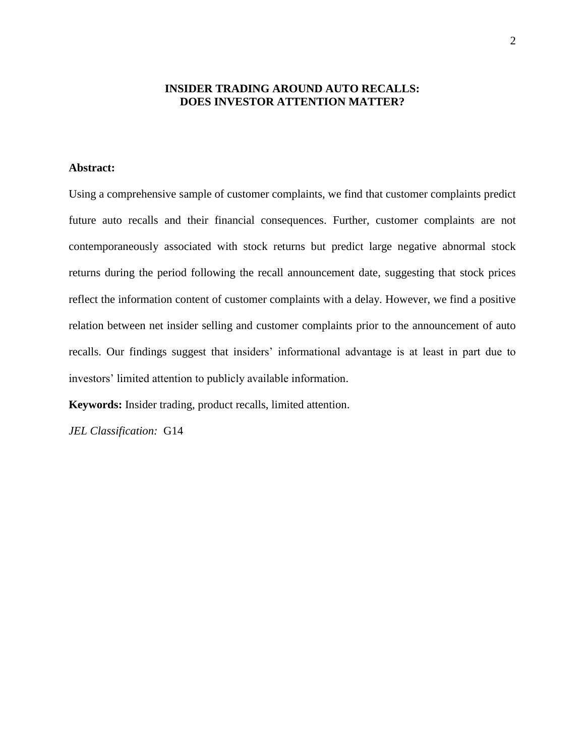# **INSIDER TRADING AROUND AUTO RECALLS: DOES INVESTOR ATTENTION MATTER?**

# **Abstract:**

Using a comprehensive sample of customer complaints, we find that customer complaints predict future auto recalls and their financial consequences. Further, customer complaints are not contemporaneously associated with stock returns but predict large negative abnormal stock returns during the period following the recall announcement date, suggesting that stock prices reflect the information content of customer complaints with a delay. However, we find a positive relation between net insider selling and customer complaints prior to the announcement of auto recalls. Our findings suggest that insiders' informational advantage is at least in part due to investors' limited attention to publicly available information.

**Keywords:** Insider trading, product recalls, limited attention.

*JEL Classification:* G14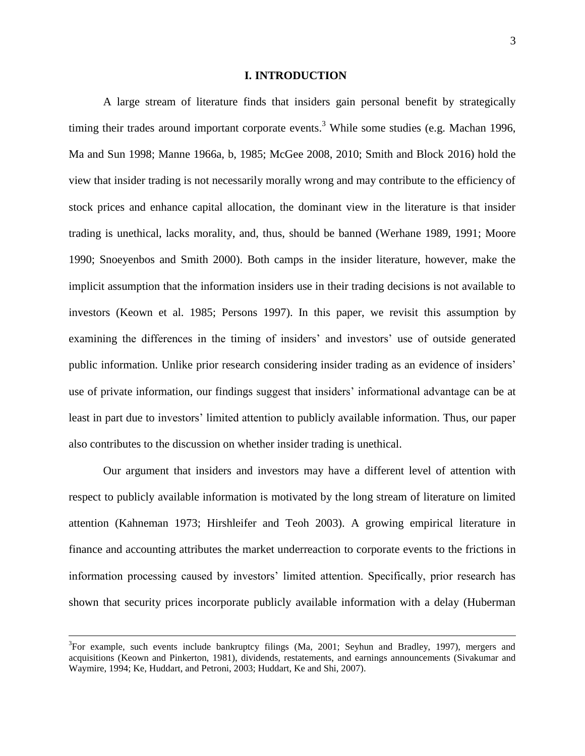#### **I. INTRODUCTION**

A large stream of literature finds that insiders gain personal benefit by strategically timing their trades around important corporate events.<sup>3</sup> While some studies (e.g. Machan 1996, Ma and Sun 1998; Manne 1966a, b, 1985; McGee 2008, 2010; Smith and Block 2016) hold the view that insider trading is not necessarily morally wrong and may contribute to the efficiency of stock prices and enhance capital allocation, the dominant view in the literature is that insider trading is unethical, lacks morality, and, thus, should be banned (Werhane 1989, 1991; Moore 1990; Snoeyenbos and Smith 2000). Both camps in the insider literature, however, make the implicit assumption that the information insiders use in their trading decisions is not available to investors (Keown et al. 1985; Persons 1997). In this paper, we revisit this assumption by examining the differences in the timing of insiders' and investors' use of outside generated public information. Unlike prior research considering insider trading as an evidence of insiders' use of private information, our findings suggest that insiders' informational advantage can be at least in part due to investors' limited attention to publicly available information. Thus, our paper also contributes to the discussion on whether insider trading is unethical.

Our argument that insiders and investors may have a different level of attention with respect to publicly available information is motivated by the long stream of literature on limited attention (Kahneman 1973; Hirshleifer and Teoh 2003). A growing empirical literature in finance and accounting attributes the market underreaction to corporate events to the frictions in information processing caused by investors' limited attention. Specifically, prior research has shown that security prices incorporate publicly available information with a delay (Huberman

 $\overline{a}$ 

 $3$ For example, such events include bankruptcy filings (Ma, 2001; Seyhun and Bradley, 1997), mergers and acquisitions (Keown and Pinkerton, 1981), dividends, restatements, and earnings announcements (Sivakumar and Waymire, 1994; Ke, Huddart, and Petroni, 2003; Huddart, Ke and Shi, 2007).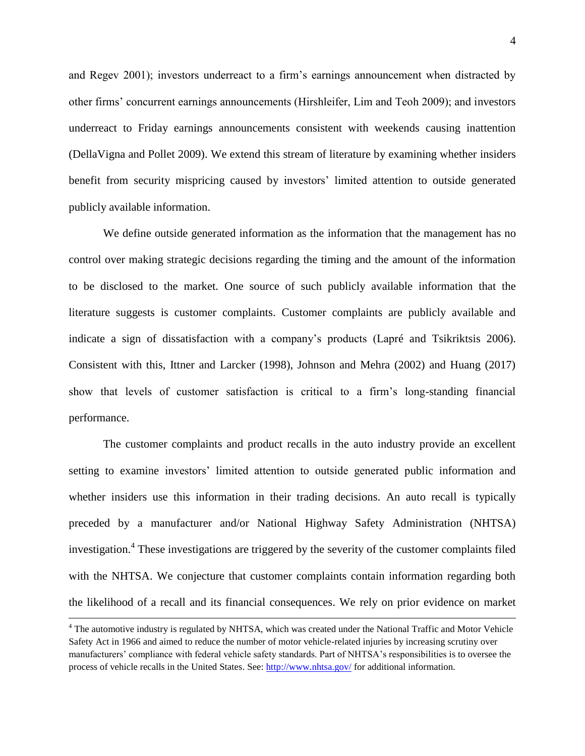and Regev 2001); investors underreact to a firm's earnings announcement when distracted by other firms' concurrent earnings announcements (Hirshleifer, Lim and Teoh 2009); and investors underreact to Friday earnings announcements consistent with weekends causing inattention (DellaVigna and Pollet 2009). We extend this stream of literature by examining whether insiders benefit from security mispricing caused by investors' limited attention to outside generated publicly available information.

We define outside generated information as the information that the management has no control over making strategic decisions regarding the timing and the amount of the information to be disclosed to the market. One source of such publicly available information that the literature suggests is customer complaints. Customer complaints are publicly available and indicate a sign of dissatisfaction with a company's products (Lapré and Tsikriktsis 2006). Consistent with this, Ittner and Larcker (1998), Johnson and Mehra (2002) and Huang (2017) show that levels of customer satisfaction is critical to a firm's long-standing financial performance.

The customer complaints and product recalls in the auto industry provide an excellent setting to examine investors' limited attention to outside generated public information and whether insiders use this information in their trading decisions. An auto recall is typically preceded by a manufacturer and/or National Highway Safety Administration (NHTSA) investigation.<sup>4</sup> These investigations are triggered by the severity of the customer complaints filed with the NHTSA. We conjecture that customer complaints contain information regarding both the likelihood of a recall and its financial consequences. We rely on prior evidence on market

 $\overline{a}$ 

<sup>4</sup> The automotive industry is regulated by NHTSA, which was created under the National Traffic and Motor Vehicle Safety Act in 1966 and aimed to reduce the number of motor vehicle-related injuries by increasing scrutiny over manufacturers' compliance with federal vehicle safety standards. Part of NHTSA's responsibilities is to oversee the process of vehicle recalls in the United States. See[: http://www.nhtsa.gov/](http://www.nhtsa.gov/Vehicle+Safety/Recalls+&+Defects/) for additional information.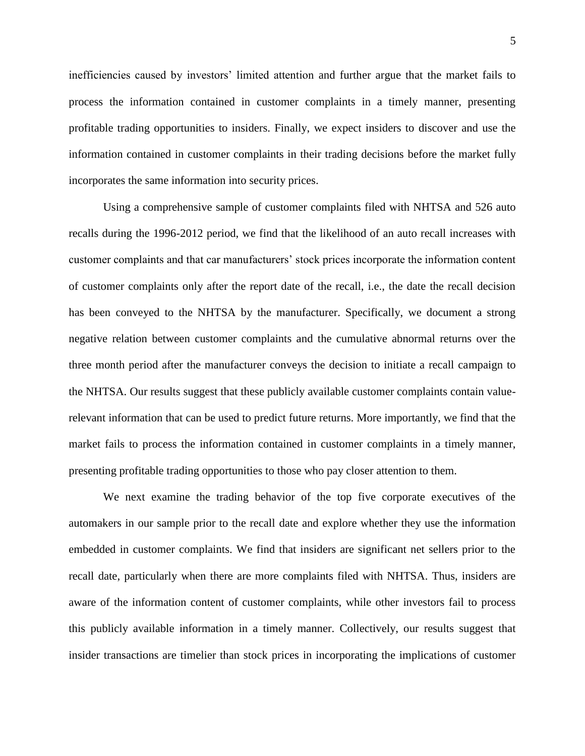inefficiencies caused by investors' limited attention and further argue that the market fails to process the information contained in customer complaints in a timely manner, presenting profitable trading opportunities to insiders. Finally, we expect insiders to discover and use the information contained in customer complaints in their trading decisions before the market fully incorporates the same information into security prices.

Using a comprehensive sample of customer complaints filed with NHTSA and 526 auto recalls during the 1996-2012 period, we find that the likelihood of an auto recall increases with customer complaints and that car manufacturers' stock prices incorporate the information content of customer complaints only after the report date of the recall, i.e., the date the recall decision has been conveyed to the NHTSA by the manufacturer. Specifically, we document a strong negative relation between customer complaints and the cumulative abnormal returns over the three month period after the manufacturer conveys the decision to initiate a recall campaign to the NHTSA. Our results suggest that these publicly available customer complaints contain valuerelevant information that can be used to predict future returns. More importantly, we find that the market fails to process the information contained in customer complaints in a timely manner, presenting profitable trading opportunities to those who pay closer attention to them.

We next examine the trading behavior of the top five corporate executives of the automakers in our sample prior to the recall date and explore whether they use the information embedded in customer complaints. We find that insiders are significant net sellers prior to the recall date, particularly when there are more complaints filed with NHTSA. Thus, insiders are aware of the information content of customer complaints, while other investors fail to process this publicly available information in a timely manner. Collectively, our results suggest that insider transactions are timelier than stock prices in incorporating the implications of customer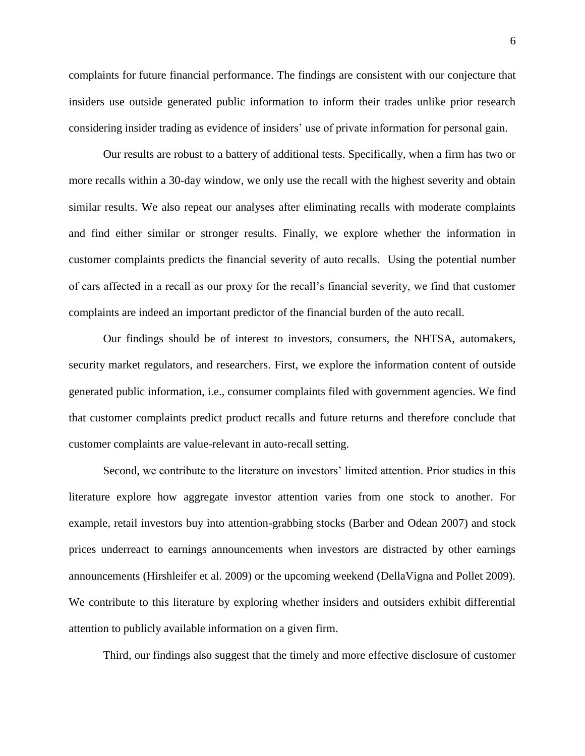complaints for future financial performance. The findings are consistent with our conjecture that insiders use outside generated public information to inform their trades unlike prior research considering insider trading as evidence of insiders' use of private information for personal gain.

Our results are robust to a battery of additional tests. Specifically, when a firm has two or more recalls within a 30-day window, we only use the recall with the highest severity and obtain similar results. We also repeat our analyses after eliminating recalls with moderate complaints and find either similar or stronger results. Finally, we explore whether the information in customer complaints predicts the financial severity of auto recalls. Using the potential number of cars affected in a recall as our proxy for the recall's financial severity, we find that customer complaints are indeed an important predictor of the financial burden of the auto recall.

Our findings should be of interest to investors, consumers, the NHTSA, automakers, security market regulators, and researchers. First, we explore the information content of outside generated public information, i.e., consumer complaints filed with government agencies. We find that customer complaints predict product recalls and future returns and therefore conclude that customer complaints are value-relevant in auto-recall setting.

Second, we contribute to the literature on investors' limited attention. Prior studies in this literature explore how aggregate investor attention varies from one stock to another. For example, retail investors buy into attention-grabbing stocks (Barber and Odean 2007) and stock prices underreact to earnings announcements when investors are distracted by other earnings announcements (Hirshleifer et al. 2009) or the upcoming weekend (DellaVigna and Pollet 2009). We contribute to this literature by exploring whether insiders and outsiders exhibit differential attention to publicly available information on a given firm.

Third, our findings also suggest that the timely and more effective disclosure of customer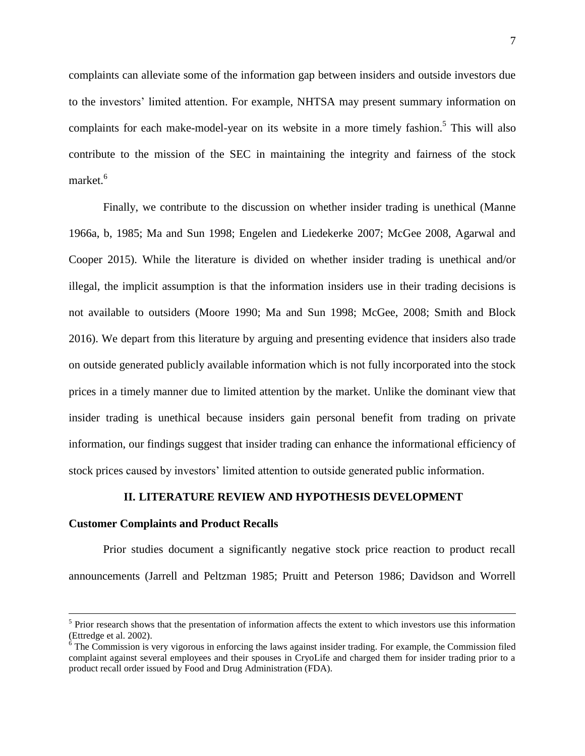complaints can alleviate some of the information gap between insiders and outside investors due to the investors' limited attention. For example, NHTSA may present summary information on complaints for each make-model-year on its website in a more timely fashion.<sup>5</sup> This will also contribute to the mission of the SEC in maintaining the integrity and fairness of the stock market. 6

Finally, we contribute to the discussion on whether insider trading is unethical (Manne 1966a, b, 1985; Ma and Sun 1998; Engelen and Liedekerke 2007; McGee 2008, Agarwal and Cooper 2015). While the literature is divided on whether insider trading is unethical and/or illegal, the implicit assumption is that the information insiders use in their trading decisions is not available to outsiders (Moore 1990; Ma and Sun 1998; McGee, 2008; Smith and Block 2016). We depart from this literature by arguing and presenting evidence that insiders also trade on outside generated publicly available information which is not fully incorporated into the stock prices in a timely manner due to limited attention by the market. Unlike the dominant view that insider trading is unethical because insiders gain personal benefit from trading on private information, our findings suggest that insider trading can enhance the informational efficiency of stock prices caused by investors' limited attention to outside generated public information.

#### **II. LITERATURE REVIEW AND HYPOTHESIS DEVELOPMENT**

#### **Customer Complaints and Product Recalls**

 $\overline{a}$ 

Prior studies document a significantly negative stock price reaction to product recall announcements (Jarrell and Peltzman 1985; Pruitt and Peterson 1986; Davidson and Worrell

<sup>&</sup>lt;sup>5</sup> Prior research shows that the presentation of information affects the extent to which investors use this information (Ettredge et al. 2002).

<sup>&</sup>lt;sup>6</sup> The Commission is very vigorous in enforcing the laws against insider trading. For example, the Commission filed complaint against several employees and their spouses in CryoLife and charged them for insider trading prior to a product recall order issued by Food and Drug Administration (FDA).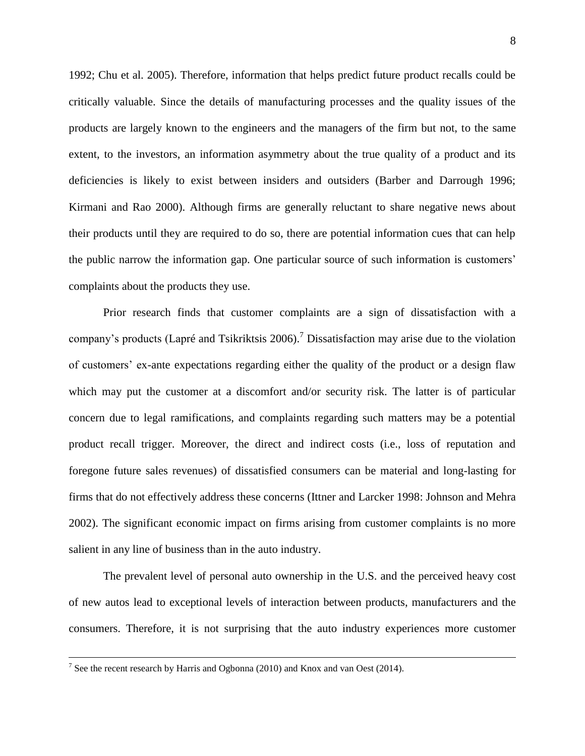1992; Chu et al. 2005). Therefore, information that helps predict future product recalls could be critically valuable. Since the details of manufacturing processes and the quality issues of the products are largely known to the engineers and the managers of the firm but not, to the same extent, to the investors, an information asymmetry about the true quality of a product and its deficiencies is likely to exist between insiders and outsiders (Barber and Darrough 1996; Kirmani and Rao 2000). Although firms are generally reluctant to share negative news about their products until they are required to do so, there are potential information cues that can help the public narrow the information gap. One particular source of such information is customers' complaints about the products they use.

Prior research finds that customer complaints are a sign of dissatisfaction with a company's products (Lapré and Tsikriktsis 2006).<sup>7</sup> Dissatisfaction may arise due to the violation of customers' ex-ante expectations regarding either the quality of the product or a design flaw which may put the customer at a discomfort and/or security risk. The latter is of particular concern due to legal ramifications, and complaints regarding such matters may be a potential product recall trigger. Moreover, the direct and indirect costs (i.e., loss of reputation and foregone future sales revenues) of dissatisfied consumers can be material and long-lasting for firms that do not effectively address these concerns (Ittner and Larcker 1998: Johnson and Mehra 2002). The significant economic impact on firms arising from customer complaints is no more salient in any line of business than in the auto industry.

The prevalent level of personal auto ownership in the U.S. and the perceived heavy cost of new autos lead to exceptional levels of interaction between products, manufacturers and the consumers. Therefore, it is not surprising that the auto industry experiences more customer

<sup>&</sup>lt;sup>7</sup> See the recent research by Harris and Ogbonna (2010) and Knox and van Oest (2014).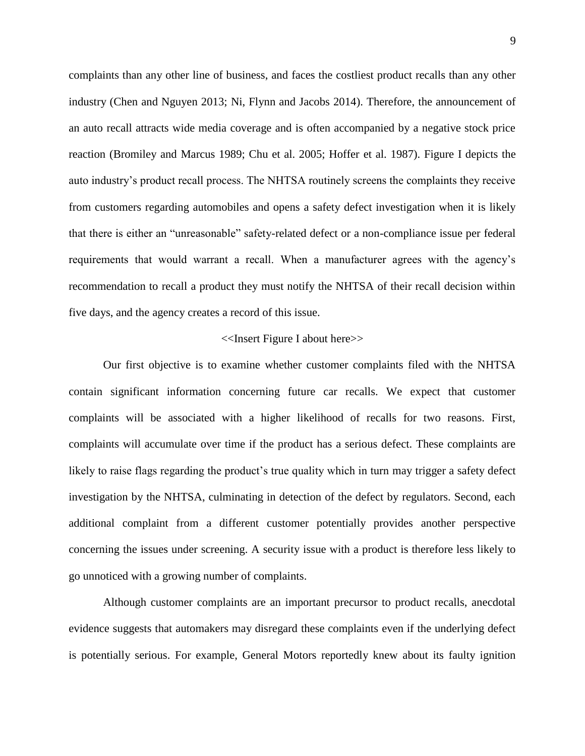complaints than any other line of business, and faces the costliest product recalls than any other industry (Chen and Nguyen 2013; Ni, Flynn and Jacobs 2014). Therefore, the announcement of an auto recall attracts wide media coverage and is often accompanied by a negative stock price reaction (Bromiley and Marcus 1989; Chu et al. 2005; Hoffer et al. 1987). Figure I depicts the auto industry's product recall process. The NHTSA routinely screens the complaints they receive from customers regarding automobiles and opens a safety defect investigation when it is likely that there is either an "unreasonable" safety-related defect or a non-compliance issue per federal requirements that would warrant a recall. When a manufacturer agrees with the agency's recommendation to recall a product they must notify the NHTSA of their recall decision within five days, and the agency creates a record of this issue.

#### <<Insert Figure I about here>>

Our first objective is to examine whether customer complaints filed with the NHTSA contain significant information concerning future car recalls. We expect that customer complaints will be associated with a higher likelihood of recalls for two reasons. First, complaints will accumulate over time if the product has a serious defect. These complaints are likely to raise flags regarding the product's true quality which in turn may trigger a safety defect investigation by the NHTSA, culminating in detection of the defect by regulators. Second, each additional complaint from a different customer potentially provides another perspective concerning the issues under screening. A security issue with a product is therefore less likely to go unnoticed with a growing number of complaints.

Although customer complaints are an important precursor to product recalls, anecdotal evidence suggests that automakers may disregard these complaints even if the underlying defect is potentially serious. For example, General Motors reportedly knew about its faulty ignition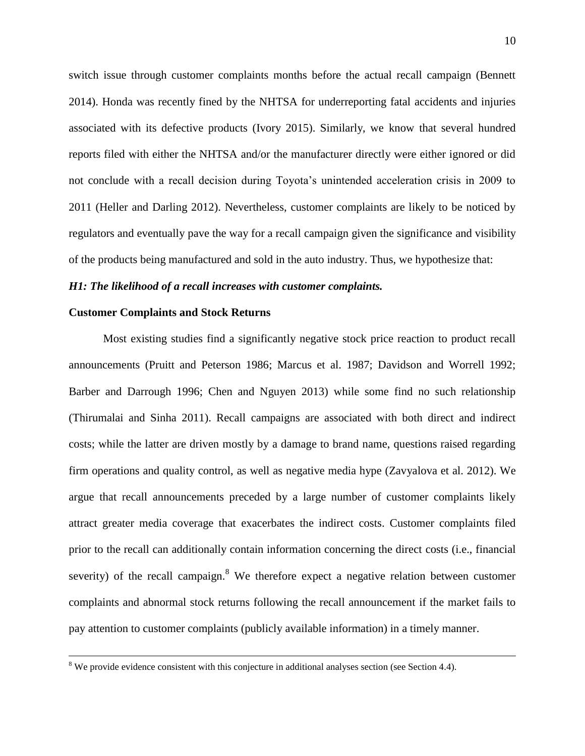switch issue through customer complaints months before the actual recall campaign (Bennett 2014). Honda was recently fined by the NHTSA for underreporting fatal accidents and injuries associated with its defective products (Ivory 2015). Similarly, we know that several hundred reports filed with either the NHTSA and/or the manufacturer directly were either ignored or did not conclude with a recall decision during Toyota's unintended acceleration crisis in 2009 to 2011 (Heller and Darling 2012). Nevertheless, customer complaints are likely to be noticed by regulators and eventually pave the way for a recall campaign given the significance and visibility of the products being manufactured and sold in the auto industry. Thus, we hypothesize that:

#### *H1: The likelihood of a recall increases with customer complaints.*

### **Customer Complaints and Stock Returns**

 $\overline{a}$ 

Most existing studies find a significantly negative stock price reaction to product recall announcements (Pruitt and Peterson 1986; Marcus et al. 1987; Davidson and Worrell 1992; Barber and Darrough 1996; Chen and Nguyen 2013) while some find no such relationship (Thirumalai and Sinha 2011). Recall campaigns are associated with both direct and indirect costs; while the latter are driven mostly by a damage to brand name, questions raised regarding firm operations and quality control, as well as negative media hype (Zavyalova et al. 2012). We argue that recall announcements preceded by a large number of customer complaints likely attract greater media coverage that exacerbates the indirect costs. Customer complaints filed prior to the recall can additionally contain information concerning the direct costs (i.e., financial severity) of the recall campaign. $8$  We therefore expect a negative relation between customer complaints and abnormal stock returns following the recall announcement if the market fails to pay attention to customer complaints (publicly available information) in a timely manner.

<sup>&</sup>lt;sup>8</sup> We provide evidence consistent with this conjecture in additional analyses section (see Section 4.4).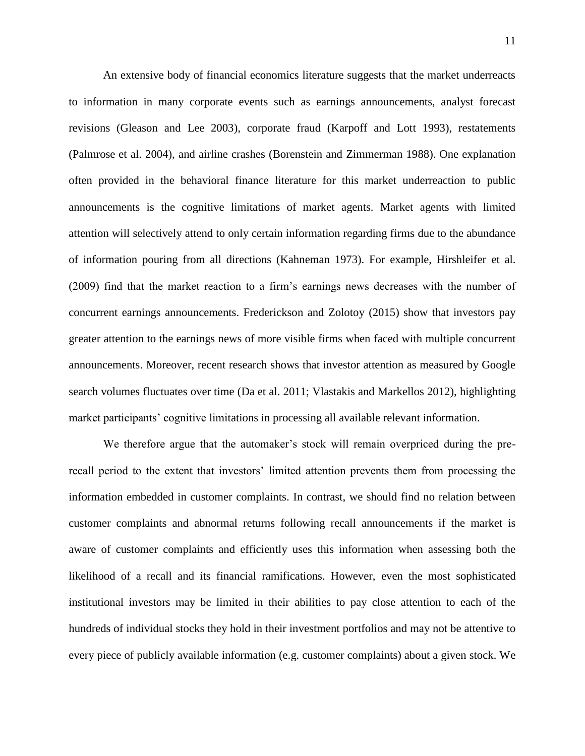An extensive body of financial economics literature suggests that the market underreacts to information in many corporate events such as earnings announcements, analyst forecast revisions (Gleason and Lee 2003), corporate fraud (Karpoff and Lott 1993), restatements (Palmrose et al. 2004), and airline crashes (Borenstein and Zimmerman 1988). One explanation often provided in the behavioral finance literature for this market underreaction to public announcements is the cognitive limitations of market agents. Market agents with limited attention will selectively attend to only certain information regarding firms due to the abundance of information pouring from all directions (Kahneman 1973). For example, Hirshleifer et al. (2009) find that the market reaction to a firm's earnings news decreases with the number of concurrent earnings announcements. Frederickson and Zolotoy (2015) show that investors pay greater attention to the earnings news of more visible firms when faced with multiple concurrent announcements. Moreover, recent research shows that investor attention as measured by Google search volumes fluctuates over time (Da et al. 2011; Vlastakis and Markellos 2012), highlighting market participants' cognitive limitations in processing all available relevant information.

We therefore argue that the automaker's stock will remain overpriced during the prerecall period to the extent that investors' limited attention prevents them from processing the information embedded in customer complaints. In contrast, we should find no relation between customer complaints and abnormal returns following recall announcements if the market is aware of customer complaints and efficiently uses this information when assessing both the likelihood of a recall and its financial ramifications. However, even the most sophisticated institutional investors may be limited in their abilities to pay close attention to each of the hundreds of individual stocks they hold in their investment portfolios and may not be attentive to every piece of publicly available information (e.g. customer complaints) about a given stock. We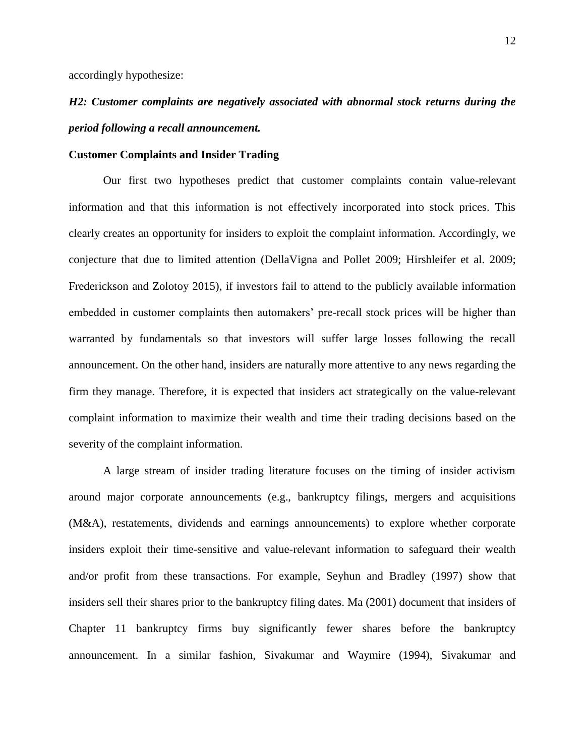accordingly hypothesize:

# *H2: Customer complaints are negatively associated with abnormal stock returns during the period following a recall announcement.*

#### **Customer Complaints and Insider Trading**

Our first two hypotheses predict that customer complaints contain value-relevant information and that this information is not effectively incorporated into stock prices. This clearly creates an opportunity for insiders to exploit the complaint information. Accordingly, we conjecture that due to limited attention (DellaVigna and Pollet 2009; Hirshleifer et al. 2009; Frederickson and Zolotoy 2015), if investors fail to attend to the publicly available information embedded in customer complaints then automakers' pre-recall stock prices will be higher than warranted by fundamentals so that investors will suffer large losses following the recall announcement. On the other hand, insiders are naturally more attentive to any news regarding the firm they manage. Therefore, it is expected that insiders act strategically on the value-relevant complaint information to maximize their wealth and time their trading decisions based on the severity of the complaint information.

A large stream of insider trading literature focuses on the timing of insider activism around major corporate announcements (e.g., bankruptcy filings, mergers and acquisitions (M&A), restatements, dividends and earnings announcements) to explore whether corporate insiders exploit their time-sensitive and value-relevant information to safeguard their wealth and/or profit from these transactions. For example, Seyhun and Bradley (1997) show that insiders sell their shares prior to the bankruptcy filing dates. Ma (2001) document that insiders of Chapter 11 bankruptcy firms buy significantly fewer shares before the bankruptcy announcement. In a similar fashion, Sivakumar and Waymire (1994), Sivakumar and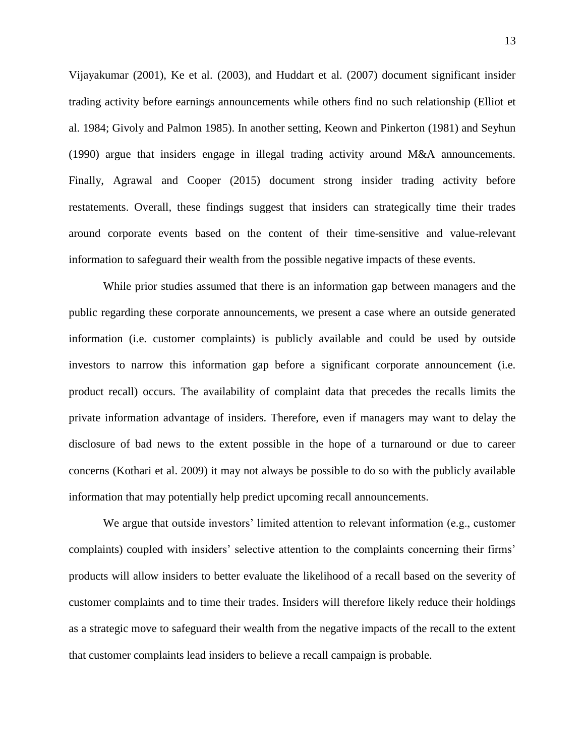Vijayakumar (2001), Ke et al. (2003), and Huddart et al. (2007) document significant insider trading activity before earnings announcements while others find no such relationship (Elliot et al. 1984; Givoly and Palmon 1985). In another setting, Keown and Pinkerton (1981) and Seyhun (1990) argue that insiders engage in illegal trading activity around M&A announcements. Finally, Agrawal and Cooper (2015) document strong insider trading activity before restatements. Overall, these findings suggest that insiders can strategically time their trades around corporate events based on the content of their time-sensitive and value-relevant information to safeguard their wealth from the possible negative impacts of these events.

While prior studies assumed that there is an information gap between managers and the public regarding these corporate announcements, we present a case where an outside generated information (i.e. customer complaints) is publicly available and could be used by outside investors to narrow this information gap before a significant corporate announcement (i.e. product recall) occurs. The availability of complaint data that precedes the recalls limits the private information advantage of insiders. Therefore, even if managers may want to delay the disclosure of bad news to the extent possible in the hope of a turnaround or due to career concerns (Kothari et al. 2009) it may not always be possible to do so with the publicly available information that may potentially help predict upcoming recall announcements.

We argue that outside investors' limited attention to relevant information (e.g., customer complaints) coupled with insiders' selective attention to the complaints concerning their firms' products will allow insiders to better evaluate the likelihood of a recall based on the severity of customer complaints and to time their trades. Insiders will therefore likely reduce their holdings as a strategic move to safeguard their wealth from the negative impacts of the recall to the extent that customer complaints lead insiders to believe a recall campaign is probable.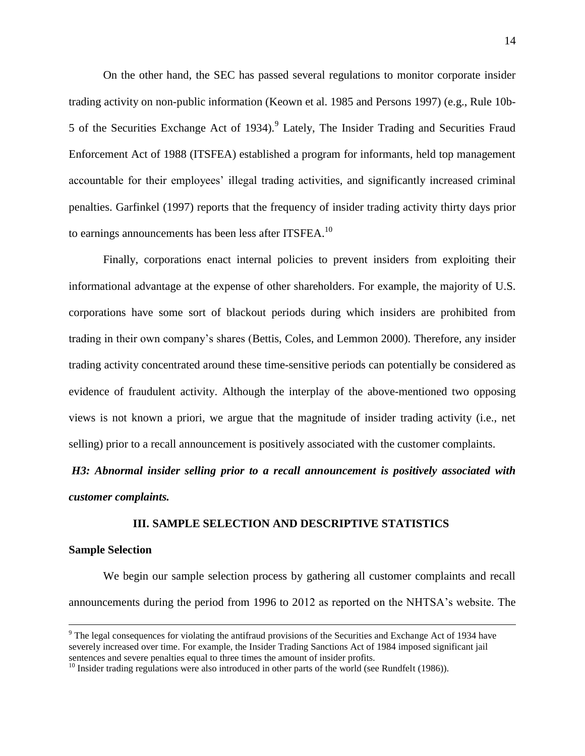On the other hand, the SEC has passed several regulations to monitor corporate insider trading activity on non-public information (Keown et al. 1985 and Persons 1997) (e.g., Rule 10b-5 of the Securities Exchange Act of 1934).<sup>9</sup> Lately, The Insider Trading and Securities Fraud Enforcement Act of 1988 (ITSFEA) established a program for informants, held top management accountable for their employees' illegal trading activities, and significantly increased criminal penalties. Garfinkel (1997) reports that the frequency of insider trading activity thirty days prior to earnings announcements has been less after ITSFEA. $^{10}$ 

Finally, corporations enact internal policies to prevent insiders from exploiting their informational advantage at the expense of other shareholders. For example, the majority of U.S. corporations have some sort of blackout periods during which insiders are prohibited from trading in their own company's shares (Bettis, Coles, and Lemmon 2000). Therefore, any insider trading activity concentrated around these time-sensitive periods can potentially be considered as evidence of fraudulent activity. Although the interplay of the above-mentioned two opposing views is not known a priori, we argue that the magnitude of insider trading activity (i.e., net selling) prior to a recall announcement is positively associated with the customer complaints.

*H3: Abnormal insider selling prior to a recall announcement is positively associated with customer complaints.* 

#### **III. SAMPLE SELECTION AND DESCRIPTIVE STATISTICS**

#### **Sample Selection**

 $\overline{a}$ 

We begin our sample selection process by gathering all customer complaints and recall announcements during the period from 1996 to 2012 as reported on the NHTSA's website. The

<sup>&</sup>lt;sup>9</sup> The legal consequences for violating the antifraud provisions of the Securities and Exchange Act of 1934 have severely increased over time. For example, the Insider Trading Sanctions Act of 1984 imposed significant jail sentences and severe penalties equal to three times the amount of insider profits.

<sup>&</sup>lt;sup>10</sup> Insider trading regulations were also introduced in other parts of the world (see Rundfelt (1986)).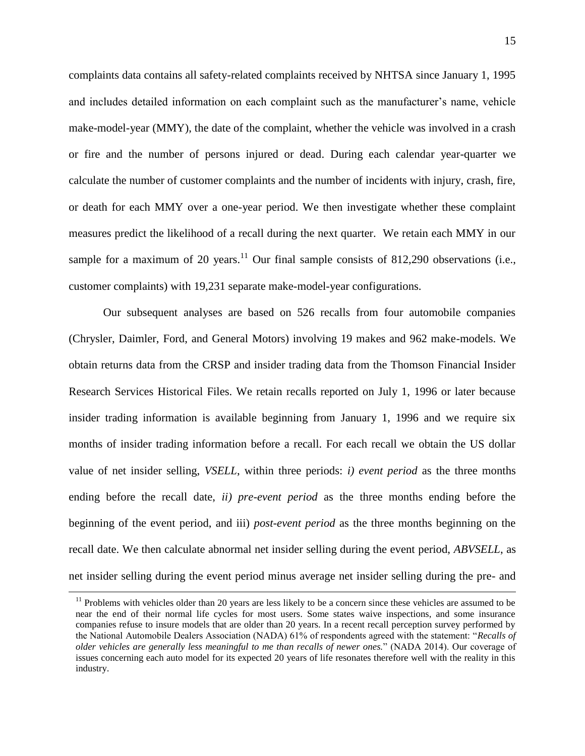complaints data contains all safety-related complaints received by NHTSA since January 1, 1995 and includes detailed information on each complaint such as the manufacturer's name, vehicle make-model-year (MMY), the date of the complaint, whether the vehicle was involved in a crash or fire and the number of persons injured or dead. During each calendar year-quarter we calculate the number of customer complaints and the number of incidents with injury, crash, fire, or death for each MMY over a one-year period. We then investigate whether these complaint measures predict the likelihood of a recall during the next quarter. We retain each MMY in our sample for a maximum of 20 years.<sup>11</sup> Our final sample consists of 812,290 observations (i.e., customer complaints) with 19,231 separate make-model-year configurations.

Our subsequent analyses are based on 526 recalls from four automobile companies (Chrysler, Daimler, Ford, and General Motors) involving 19 makes and 962 make-models. We obtain returns data from the CRSP and insider trading data from the Thomson Financial Insider Research Services Historical Files. We retain recalls reported on July 1, 1996 or later because insider trading information is available beginning from January 1, 1996 and we require six months of insider trading information before a recall. For each recall we obtain the US dollar value of net insider selling, *VSELL*, within three periods: *i) event period* as the three months ending before the recall date, *ii) pre-event period* as the three months ending before the beginning of the event period, and iii) *post-event period* as the three months beginning on the recall date. We then calculate abnormal net insider selling during the event period, *ABVSELL*, as net insider selling during the event period minus average net insider selling during the pre- and

 $\overline{a}$ 

 $11$  Problems with vehicles older than 20 years are less likely to be a concern since these vehicles are assumed to be near the end of their normal life cycles for most users. Some states waive inspections, and some insurance companies refuse to insure models that are older than 20 years. In a recent recall perception survey performed by the National Automobile Dealers Association (NADA) 61% of respondents agreed with the statement: "*Recalls of older vehicles are generally less meaningful to me than recalls of newer ones.*" (NADA 2014). Our coverage of issues concerning each auto model for its expected 20 years of life resonates therefore well with the reality in this industry.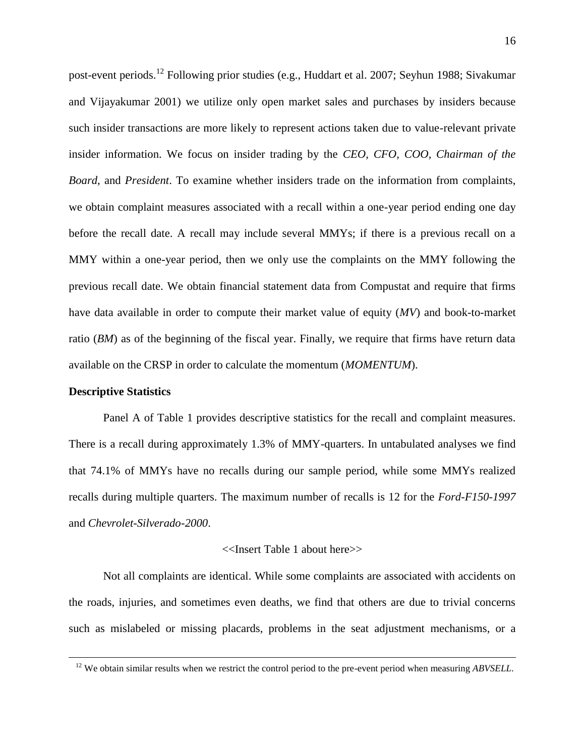post-event periods.<sup>12</sup> Following prior studies (e.g., Huddart et al. 2007; Seyhun 1988; Sivakumar and Vijayakumar 2001) we utilize only open market sales and purchases by insiders because such insider transactions are more likely to represent actions taken due to value-relevant private insider information. We focus on insider trading by the *CEO, CFO, COO, Chairman of the Board*, and *President*. To examine whether insiders trade on the information from complaints, we obtain complaint measures associated with a recall within a one-year period ending one day before the recall date. A recall may include several MMYs; if there is a previous recall on a MMY within a one-year period, then we only use the complaints on the MMY following the previous recall date. We obtain financial statement data from Compustat and require that firms have data available in order to compute their market value of equity (*MV*) and book-to-market ratio (*BM*) as of the beginning of the fiscal year. Finally, we require that firms have return data available on the CRSP in order to calculate the momentum (*MOMENTUM*).

#### **Descriptive Statistics**

 $\overline{a}$ 

Panel A of Table 1 provides descriptive statistics for the recall and complaint measures. There is a recall during approximately 1.3% of MMY-quarters. In untabulated analyses we find that 74.1% of MMYs have no recalls during our sample period, while some MMYs realized recalls during multiple quarters. The maximum number of recalls is 12 for the *Ford-F150-1997* and *Chevrolet-Silverado-2000*.

#### <<Insert Table 1 about here>>

Not all complaints are identical. While some complaints are associated with accidents on the roads, injuries, and sometimes even deaths, we find that others are due to trivial concerns such as mislabeled or missing placards, problems in the seat adjustment mechanisms, or a

<sup>&</sup>lt;sup>12</sup> We obtain similar results when we restrict the control period to the pre-event period when measuring *ABVSELL*.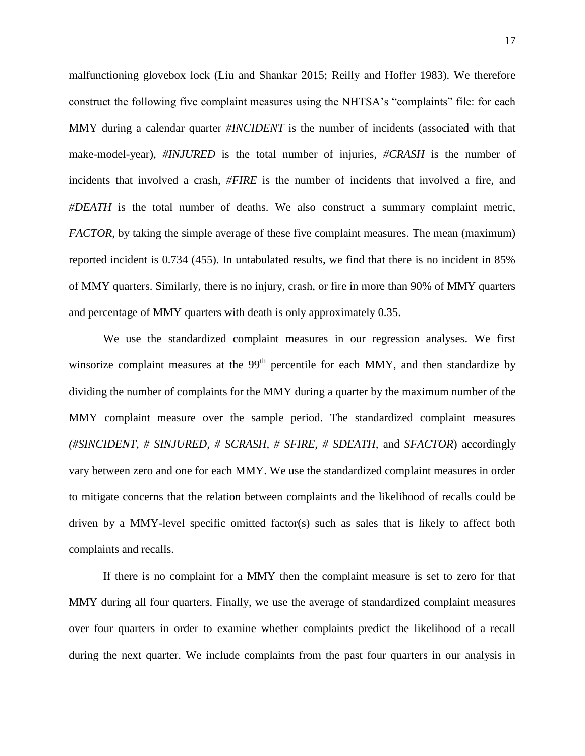malfunctioning glovebox lock (Liu and Shankar 2015; Reilly and Hoffer 1983). We therefore construct the following five complaint measures using the NHTSA's "complaints" file: for each MMY during a calendar quarter *#INCIDENT* is the number of incidents (associated with that make-model-year), *#INJURED* is the total number of injuries, *#CRASH* is the number of incidents that involved a crash, *#FIRE* is the number of incidents that involved a fire, and *#DEATH* is the total number of deaths. We also construct a summary complaint metric, *FACTOR*, by taking the simple average of these five complaint measures. The mean (maximum) reported incident is 0.734 (455). In untabulated results, we find that there is no incident in 85% of MMY quarters. Similarly, there is no injury, crash, or fire in more than 90% of MMY quarters and percentage of MMY quarters with death is only approximately 0.35.

We use the standardized complaint measures in our regression analyses. We first winsorize complaint measures at the  $99<sup>th</sup>$  percentile for each MMY, and then standardize by dividing the number of complaints for the MMY during a quarter by the maximum number of the MMY complaint measure over the sample period. The standardized complaint measures *(#SINCIDENT, # SINJURED, # SCRASH, # SFIRE, # SDEATH,* and *SFACTOR*) accordingly vary between zero and one for each MMY. We use the standardized complaint measures in order to mitigate concerns that the relation between complaints and the likelihood of recalls could be driven by a MMY-level specific omitted factor(s) such as sales that is likely to affect both complaints and recalls.

If there is no complaint for a MMY then the complaint measure is set to zero for that MMY during all four quarters. Finally, we use the average of standardized complaint measures over four quarters in order to examine whether complaints predict the likelihood of a recall during the next quarter. We include complaints from the past four quarters in our analysis in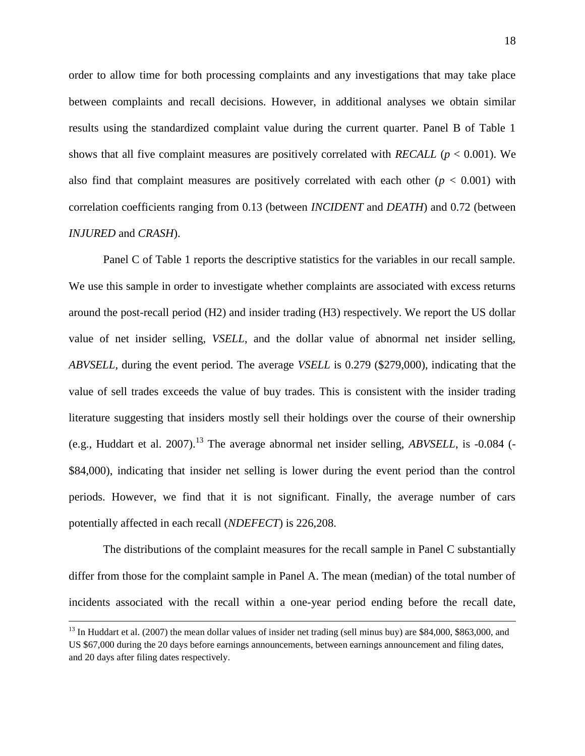order to allow time for both processing complaints and any investigations that may take place between complaints and recall decisions. However, in additional analyses we obtain similar results using the standardized complaint value during the current quarter. Panel B of Table 1 shows that all five complaint measures are positively correlated with *RECALL* (*p* < 0.001). We also find that complaint measures are positively correlated with each other  $(p < 0.001)$  with correlation coefficients ranging from 0.13 (between *INCIDENT* and *DEATH*) and 0.72 (between *INJURED* and *CRASH*).

Panel C of Table 1 reports the descriptive statistics for the variables in our recall sample. We use this sample in order to investigate whether complaints are associated with excess returns around the post-recall period (H2) and insider trading (H3) respectively. We report the US dollar value of net insider selling, *VSELL*, and the dollar value of abnormal net insider selling, *ABVSELL*, during the event period. The average *VSELL* is 0.279 (\$279,000), indicating that the value of sell trades exceeds the value of buy trades. This is consistent with the insider trading literature suggesting that insiders mostly sell their holdings over the course of their ownership (e.g., Huddart et al. 2007).<sup>13</sup> The average abnormal net insider selling, *ABVSELL*, is -0.084 (-\$84,000), indicating that insider net selling is lower during the event period than the control periods. However, we find that it is not significant. Finally, the average number of cars potentially affected in each recall (*NDEFECT*) is 226,208.

The distributions of the complaint measures for the recall sample in Panel C substantially differ from those for the complaint sample in Panel A. The mean (median) of the total number of incidents associated with the recall within a one-year period ending before the recall date,

 $\overline{a}$ 

 $13$  In Huddart et al. (2007) the mean dollar values of insider net trading (sell minus buy) are \$84,000, \$863,000, and US \$67,000 during the 20 days before earnings announcements, between earnings announcement and filing dates, and 20 days after filing dates respectively.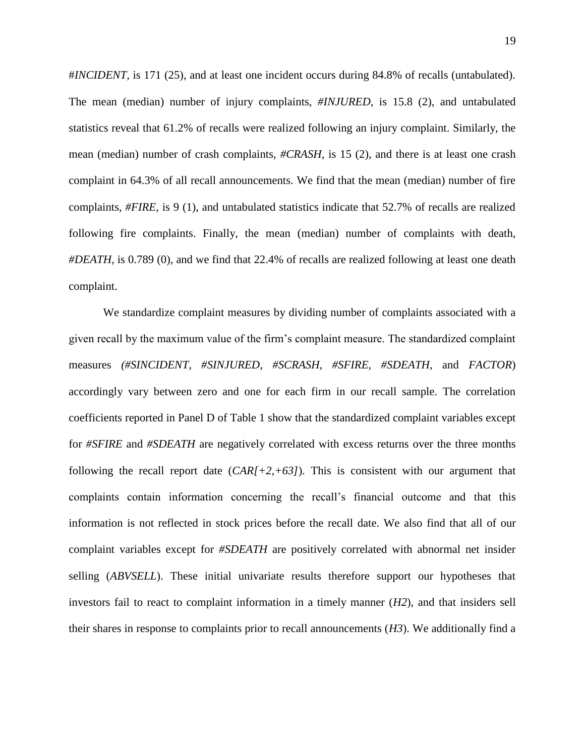#*INCIDENT,* is 171 (25), and at least one incident occurs during 84.8% of recalls (untabulated). The mean (median) number of injury complaints, *#INJURED,* is 15.8 (2), and untabulated statistics reveal that 61.2% of recalls were realized following an injury complaint. Similarly, the mean (median) number of crash complaints, *#CRASH,* is 15 (2), and there is at least one crash complaint in 64.3% of all recall announcements. We find that the mean (median) number of fire complaints, *#FIRE,* is 9 (1), and untabulated statistics indicate that 52.7% of recalls are realized following fire complaints. Finally, the mean (median) number of complaints with death, *#DEATH,* is 0.789 (0), and we find that 22.4% of recalls are realized following at least one death complaint.

We standardize complaint measures by dividing number of complaints associated with a given recall by the maximum value of the firm's complaint measure. The standardized complaint measures *(#SINCIDENT, #SINJURED, #SCRASH, #SFIRE, #SDEATH,* and *FACTOR*) accordingly vary between zero and one for each firm in our recall sample. The correlation coefficients reported in Panel D of Table 1 show that the standardized complaint variables except for *#SFIRE* and *#SDEATH* are negatively correlated with excess returns over the three months following the recall report date (*CAR[+2,+63]*). This is consistent with our argument that complaints contain information concerning the recall's financial outcome and that this information is not reflected in stock prices before the recall date. We also find that all of our complaint variables except for *#SDEATH* are positively correlated with abnormal net insider selling (*ABVSELL*). These initial univariate results therefore support our hypotheses that investors fail to react to complaint information in a timely manner (*H2*), and that insiders sell their shares in response to complaints prior to recall announcements (*H3*). We additionally find a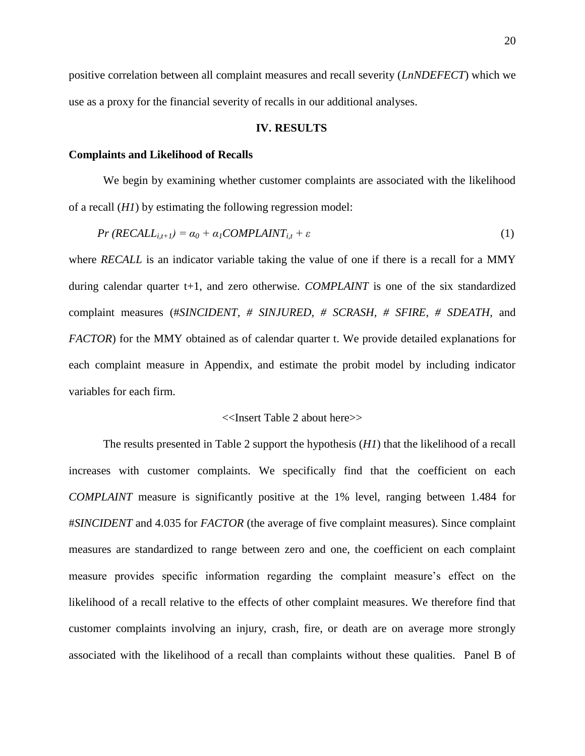positive correlation between all complaint measures and recall severity (*LnNDEFECT*) which we use as a proxy for the financial severity of recalls in our additional analyses.

#### **IV. RESULTS**

#### **Complaints and Likelihood of Recalls**

We begin by examining whether customer complaints are associated with the likelihood of a recall (*H1*) by estimating the following regression model:

$$
Pr(RECALL_{i,t+1}) = \alpha_0 + \alpha_1 COMPLANT_{i,t} + \varepsilon
$$
\n(1)

where *RECALL* is an indicator variable taking the value of one if there is a recall for a MMY during calendar quarter t+1, and zero otherwise. *COMPLAINT* is one of the six standardized complaint measures (#*SINCIDENT, # SINJURED, # SCRASH, # SFIRE, # SDEATH,* and *FACTOR*) for the MMY obtained as of calendar quarter t. We provide detailed explanations for each complaint measure in Appendix, and estimate the probit model by including indicator variables for each firm.

#### <<Insert Table 2 about here>>

The results presented in Table 2 support the hypothesis (*H1*) that the likelihood of a recall increases with customer complaints. We specifically find that the coefficient on each *COMPLAINT* measure is significantly positive at the 1% level, ranging between 1.484 for #*SINCIDENT* and 4.035 for *FACTOR* (the average of five complaint measures). Since complaint measures are standardized to range between zero and one, the coefficient on each complaint measure provides specific information regarding the complaint measure's effect on the likelihood of a recall relative to the effects of other complaint measures. We therefore find that customer complaints involving an injury, crash, fire, or death are on average more strongly associated with the likelihood of a recall than complaints without these qualities. Panel B of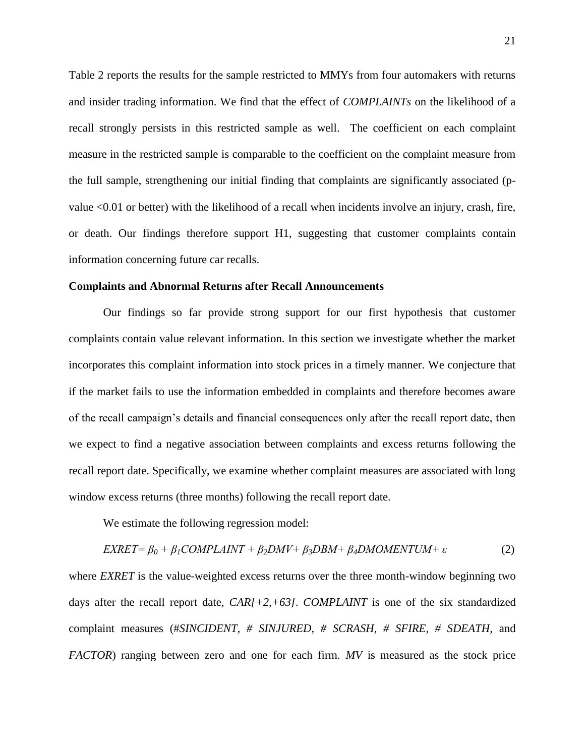Table 2 reports the results for the sample restricted to MMYs from four automakers with returns and insider trading information. We find that the effect of *COMPLAINTs* on the likelihood of a recall strongly persists in this restricted sample as well. The coefficient on each complaint measure in the restricted sample is comparable to the coefficient on the complaint measure from the full sample, strengthening our initial finding that complaints are significantly associated (pvalue <0.01 or better) with the likelihood of a recall when incidents involve an injury, crash, fire, or death. Our findings therefore support H1, suggesting that customer complaints contain information concerning future car recalls.

#### **Complaints and Abnormal Returns after Recall Announcements**

Our findings so far provide strong support for our first hypothesis that customer complaints contain value relevant information. In this section we investigate whether the market incorporates this complaint information into stock prices in a timely manner. We conjecture that if the market fails to use the information embedded in complaints and therefore becomes aware of the recall campaign's details and financial consequences only after the recall report date, then we expect to find a negative association between complaints and excess returns following the recall report date. Specifically, we examine whether complaint measures are associated with long window excess returns (three months) following the recall report date.

We estimate the following regression model:

$$
EXRET = \beta_0 + \beta_1 COMPLAINT + \beta_2 DMV + \beta_3 DBM + \beta_4 DMOMENTUM + \varepsilon
$$
 (2)

where *EXRET* is the value-weighted excess returns over the three month-window beginning two days after the recall report date, *CAR[+2,+63]*. *COMPLAINT* is one of the six standardized complaint measures (#*SINCIDENT, # SINJURED, # SCRASH, # SFIRE, # SDEATH,* and *FACTOR*) ranging between zero and one for each firm. *MV* is measured as the stock price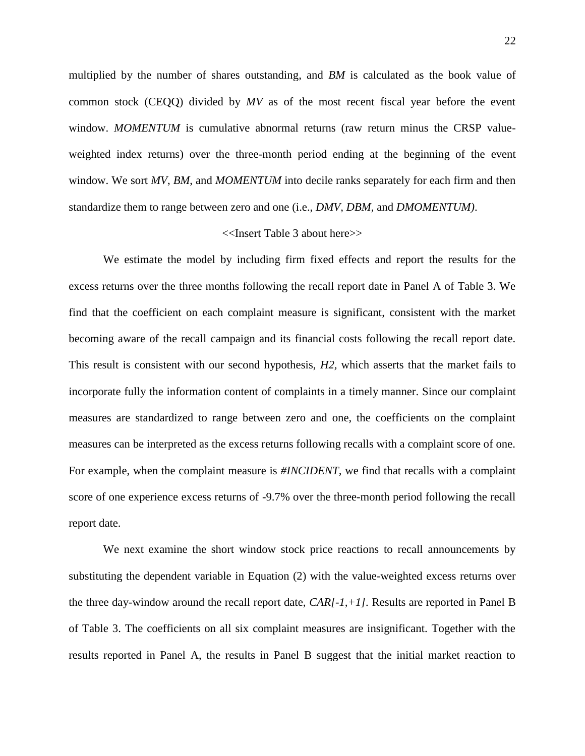multiplied by the number of shares outstanding, and *BM* is calculated as the book value of common stock (CEQQ) divided by *MV* as of the most recent fiscal year before the event window. *MOMENTUM* is cumulative abnormal returns (raw return minus the CRSP valueweighted index returns) over the three-month period ending at the beginning of the event window. We sort *MV*, *BM*, and *MOMENTUM* into decile ranks separately for each firm and then standardize them to range between zero and one (i.e., *DMV, DBM,* and *DMOMENTUM)*.

### <<Insert Table 3 about here>>

We estimate the model by including firm fixed effects and report the results for the excess returns over the three months following the recall report date in Panel A of Table 3. We find that the coefficient on each complaint measure is significant, consistent with the market becoming aware of the recall campaign and its financial costs following the recall report date. This result is consistent with our second hypothesis, *H2,* which asserts that the market fails to incorporate fully the information content of complaints in a timely manner. Since our complaint measures are standardized to range between zero and one, the coefficients on the complaint measures can be interpreted as the excess returns following recalls with a complaint score of one. For example, when the complaint measure is *#INCIDENT,* we find that recalls with a complaint score of one experience excess returns of -9.7% over the three-month period following the recall report date.

We next examine the short window stock price reactions to recall announcements by substituting the dependent variable in Equation (2) with the value-weighted excess returns over the three day-window around the recall report date, *CAR[-1,+1].* Results are reported in Panel B of Table 3. The coefficients on all six complaint measures are insignificant. Together with the results reported in Panel A, the results in Panel B suggest that the initial market reaction to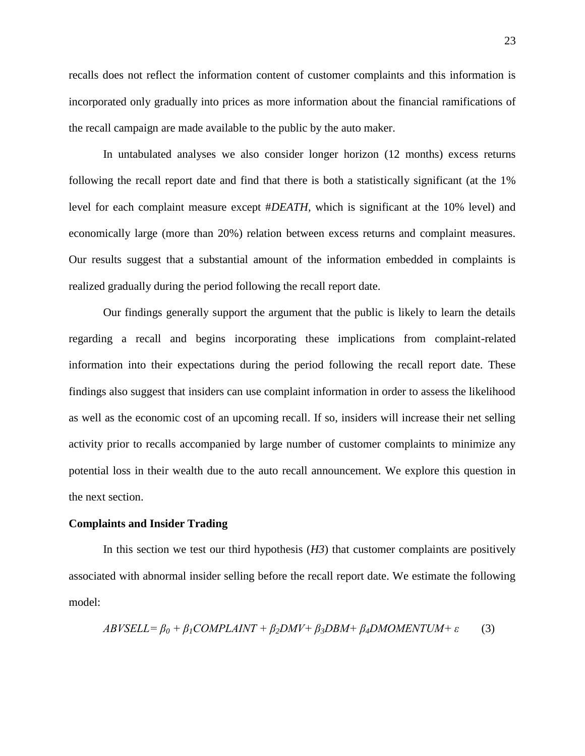recalls does not reflect the information content of customer complaints and this information is incorporated only gradually into prices as more information about the financial ramifications of the recall campaign are made available to the public by the auto maker.

In untabulated analyses we also consider longer horizon (12 months) excess returns following the recall report date and find that there is both a statistically significant (at the 1% level for each complaint measure except #*DEATH,* which is significant at the 10% level) and economically large (more than 20%) relation between excess returns and complaint measures. Our results suggest that a substantial amount of the information embedded in complaints is realized gradually during the period following the recall report date.

Our findings generally support the argument that the public is likely to learn the details regarding a recall and begins incorporating these implications from complaint-related information into their expectations during the period following the recall report date. These findings also suggest that insiders can use complaint information in order to assess the likelihood as well as the economic cost of an upcoming recall. If so, insiders will increase their net selling activity prior to recalls accompanied by large number of customer complaints to minimize any potential loss in their wealth due to the auto recall announcement. We explore this question in the next section.

### **Complaints and Insider Trading**

In this section we test our third hypothesis (*H3*) that customer complaints are positively associated with abnormal insider selling before the recall report date. We estimate the following model:

$$
ABVSELL = \beta_0 + \beta_1 COMPLANT + \beta_2 DMV + \beta_3 DBM + \beta_4 DMOMENTUM + \varepsilon
$$
 (3)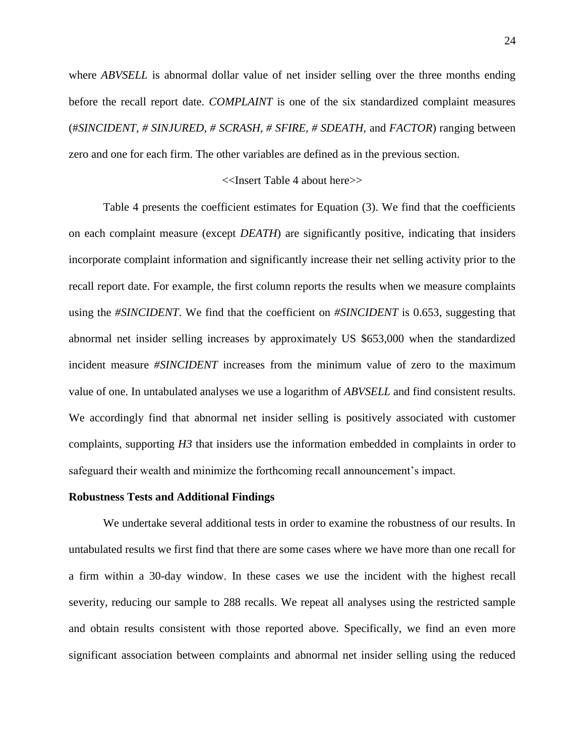where *ABVSELL* is abnormal dollar value of net insider selling over the three months ending before the recall report date. *COMPLAINT* is one of the six standardized complaint measures (#*SINCIDENT, # SINJURED, # SCRASH, # SFIRE, # SDEATH,* and *FACTOR*) ranging between zero and one for each firm. The other variables are defined as in the previous section.

#### <<Insert Table 4 about here>>

Table 4 presents the coefficient estimates for Equation (3). We find that the coefficients on each complaint measure (except *DEATH*) are significantly positive, indicating that insiders incorporate complaint information and significantly increase their net selling activity prior to the recall report date. For example, the first column reports the results when we measure complaints using the *#SINCIDENT*. We find that the coefficient on *#SINCIDENT* is 0.653, suggesting that abnormal net insider selling increases by approximately US \$653,000 when the standardized incident measure *#SINCIDENT* increases from the minimum value of zero to the maximum value of one. In untabulated analyses we use a logarithm of *ABVSELL* and find consistent results. We accordingly find that abnormal net insider selling is positively associated with customer complaints, supporting *H3* that insiders use the information embedded in complaints in order to safeguard their wealth and minimize the forthcoming recall announcement's impact.

#### **Robustness Tests and Additional Findings**

We undertake several additional tests in order to examine the robustness of our results. In untabulated results we first find that there are some cases where we have more than one recall for a firm within a 30-day window. In these cases we use the incident with the highest recall severity, reducing our sample to 288 recalls. We repeat all analyses using the restricted sample and obtain results consistent with those reported above. Specifically, we find an even more significant association between complaints and abnormal net insider selling using the reduced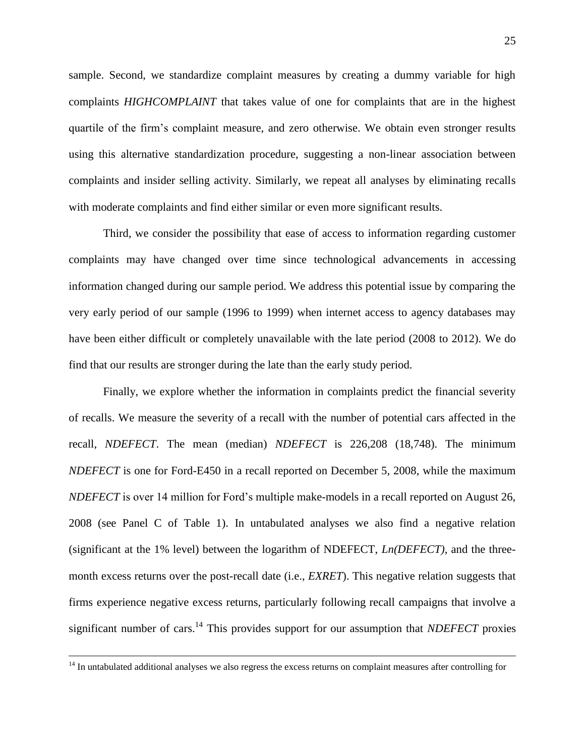sample. Second, we standardize complaint measures by creating a dummy variable for high complaints *HIGHCOMPLAINT* that takes value of one for complaints that are in the highest quartile of the firm's complaint measure, and zero otherwise. We obtain even stronger results using this alternative standardization procedure, suggesting a non-linear association between complaints and insider selling activity. Similarly, we repeat all analyses by eliminating recalls with moderate complaints and find either similar or even more significant results.

Third, we consider the possibility that ease of access to information regarding customer complaints may have changed over time since technological advancements in accessing information changed during our sample period. We address this potential issue by comparing the very early period of our sample (1996 to 1999) when internet access to agency databases may have been either difficult or completely unavailable with the late period (2008 to 2012). We do find that our results are stronger during the late than the early study period.

Finally, we explore whether the information in complaints predict the financial severity of recalls. We measure the severity of a recall with the number of potential cars affected in the recall, *NDEFECT*. The mean (median) *NDEFECT* is 226,208 (18,748). The minimum *NDEFECT* is one for Ford-E450 in a recall reported on December 5, 2008, while the maximum *NDEFECT* is over 14 million for Ford's multiple make-models in a recall reported on August 26, 2008 (see Panel C of Table 1). In untabulated analyses we also find a negative relation (significant at the 1% level) between the logarithm of NDEFECT, *Ln(DEFECT)*, and the threemonth excess returns over the post-recall date (i.e., *EXRET*). This negative relation suggests that firms experience negative excess returns, particularly following recall campaigns that involve a significant number of cars.<sup>14</sup> This provides support for our assumption that *NDEFECT* proxies

 $\overline{a}$ 

 $14$  In untabulated additional analyses we also regress the excess returns on complaint measures after controlling for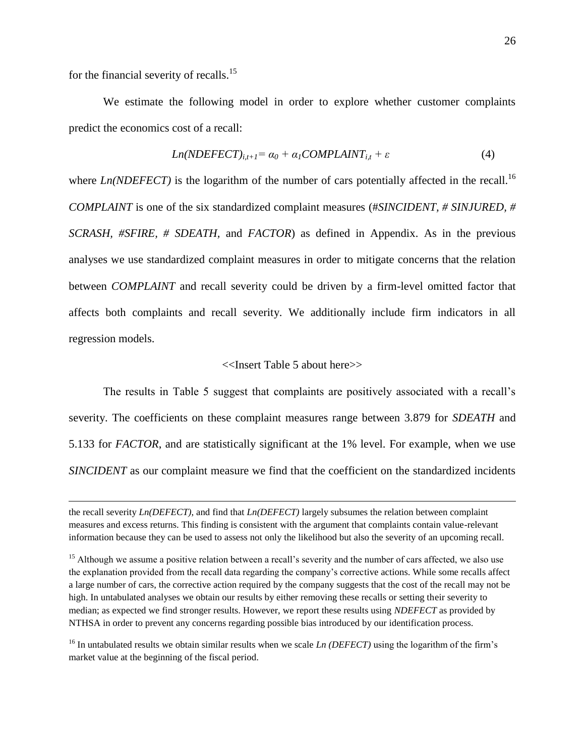for the financial severity of recalls.<sup>15</sup>

 $\overline{a}$ 

We estimate the following model in order to explore whether customer complaints predict the economics cost of a recall:

$$
Ln(NDEFECT)_{i,t+1} = \alpha_0 + \alpha_1 COMPLANT_{i,t} + \varepsilon
$$
\n(4)

where *Ln(NDEFECT)* is the logarithm of the number of cars potentially affected in the recall.<sup>16</sup> *COMPLAINT* is one of the six standardized complaint measures (#*SINCIDENT, # SINJURED, # SCRASH, #SFIRE, # SDEATH,* and *FACTOR*) as defined in Appendix. As in the previous analyses we use standardized complaint measures in order to mitigate concerns that the relation between *COMPLAINT* and recall severity could be driven by a firm-level omitted factor that affects both complaints and recall severity. We additionally include firm indicators in all regression models.

#### <<Insert Table 5 about here>>

The results in Table 5 suggest that complaints are positively associated with a recall's severity. The coefficients on these complaint measures range between 3.879 for *SDEATH* and 5.133 for *FACTOR*, and are statistically significant at the 1% level. For example, when we use *SINCIDENT* as our complaint measure we find that the coefficient on the standardized incidents

the recall severity *Ln(DEFECT)*, and find that *Ln(DEFECT)* largely subsumes the relation between complaint measures and excess returns. This finding is consistent with the argument that complaints contain value-relevant information because they can be used to assess not only the likelihood but also the severity of an upcoming recall.

<sup>&</sup>lt;sup>15</sup> Although we assume a positive relation between a recall's severity and the number of cars affected, we also use the explanation provided from the recall data regarding the company's corrective actions. While some recalls affect a large number of cars, the corrective action required by the company suggests that the cost of the recall may not be high. In untabulated analyses we obtain our results by either removing these recalls or setting their severity to median; as expected we find stronger results. However, we report these results using *NDEFECT* as provided by NTHSA in order to prevent any concerns regarding possible bias introduced by our identification process.

<sup>&</sup>lt;sup>16</sup> In untabulated results we obtain similar results when we scale *Ln (DEFECT)* using the logarithm of the firm's market value at the beginning of the fiscal period.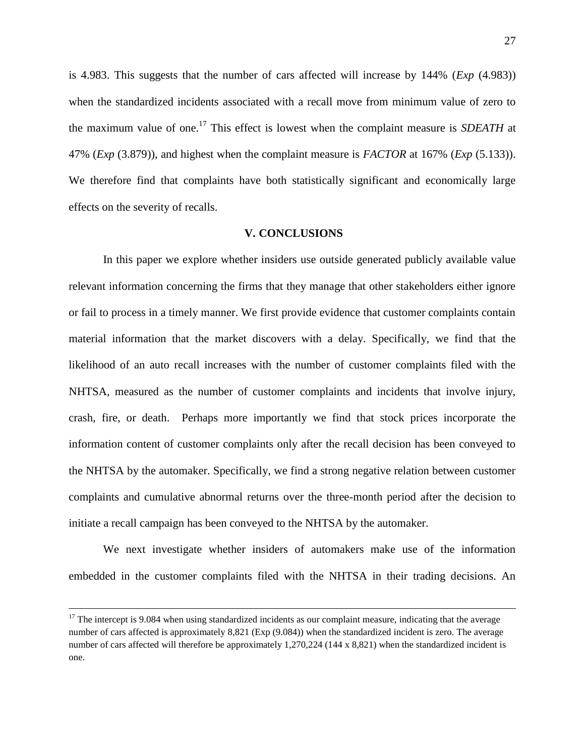is 4.983. This suggests that the number of cars affected will increase by 144% (*Exp* (4.983)) when the standardized incidents associated with a recall move from minimum value of zero to the maximum value of one.<sup>17</sup> This effect is lowest when the complaint measure is *SDEATH* at 47% (*Exp* (3.879)), and highest when the complaint measure is *FACTOR* at 167% (*Exp* (5.133)). We therefore find that complaints have both statistically significant and economically large effects on the severity of recalls.

#### **V. CONCLUSIONS**

In this paper we explore whether insiders use outside generated publicly available value relevant information concerning the firms that they manage that other stakeholders either ignore or fail to process in a timely manner. We first provide evidence that customer complaints contain material information that the market discovers with a delay. Specifically, we find that the likelihood of an auto recall increases with the number of customer complaints filed with the NHTSA, measured as the number of customer complaints and incidents that involve injury, crash, fire, or death. Perhaps more importantly we find that stock prices incorporate the information content of customer complaints only after the recall decision has been conveyed to the NHTSA by the automaker. Specifically, we find a strong negative relation between customer complaints and cumulative abnormal returns over the three-month period after the decision to initiate a recall campaign has been conveyed to the NHTSA by the automaker.

We next investigate whether insiders of automakers make use of the information embedded in the customer complaints filed with the NHTSA in their trading decisions. An

 $\overline{a}$ 

 $17$  The intercept is 9.084 when using standardized incidents as our complaint measure, indicating that the average number of cars affected is approximately 8,821 (Exp (9.084)) when the standardized incident is zero. The average number of cars affected will therefore be approximately 1,270,224 (144 x 8,821) when the standardized incident is one.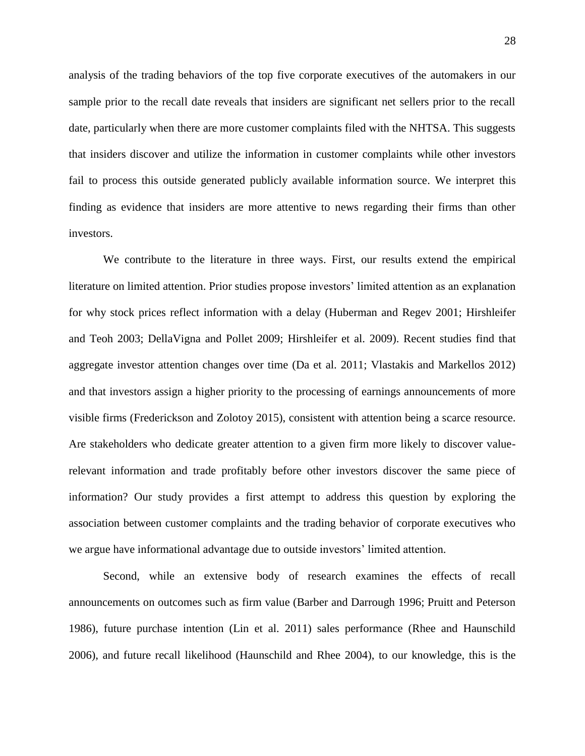analysis of the trading behaviors of the top five corporate executives of the automakers in our sample prior to the recall date reveals that insiders are significant net sellers prior to the recall date, particularly when there are more customer complaints filed with the NHTSA. This suggests that insiders discover and utilize the information in customer complaints while other investors fail to process this outside generated publicly available information source. We interpret this finding as evidence that insiders are more attentive to news regarding their firms than other investors.

We contribute to the literature in three ways. First, our results extend the empirical literature on limited attention. Prior studies propose investors' limited attention as an explanation for why stock prices reflect information with a delay (Huberman and Regev 2001; Hirshleifer and Teoh 2003; DellaVigna and Pollet 2009; Hirshleifer et al. 2009). Recent studies find that aggregate investor attention changes over time (Da et al. 2011; Vlastakis and Markellos 2012) and that investors assign a higher priority to the processing of earnings announcements of more visible firms (Frederickson and Zolotoy 2015), consistent with attention being a scarce resource. Are stakeholders who dedicate greater attention to a given firm more likely to discover valuerelevant information and trade profitably before other investors discover the same piece of information? Our study provides a first attempt to address this question by exploring the association between customer complaints and the trading behavior of corporate executives who we argue have informational advantage due to outside investors' limited attention.

Second, while an extensive body of research examines the effects of recall announcements on outcomes such as firm value (Barber and Darrough 1996; Pruitt and Peterson 1986), future purchase intention (Lin et al. 2011) sales performance (Rhee and Haunschild 2006), and future recall likelihood (Haunschild and Rhee 2004), to our knowledge, this is the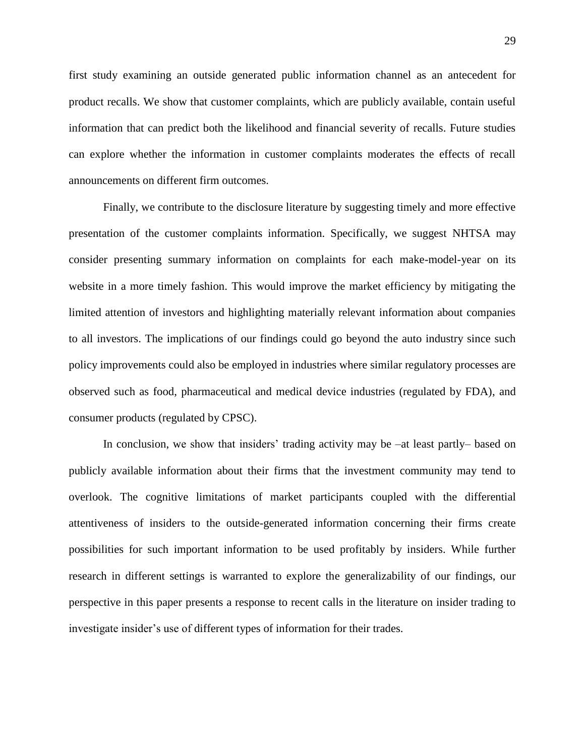first study examining an outside generated public information channel as an antecedent for product recalls. We show that customer complaints, which are publicly available, contain useful information that can predict both the likelihood and financial severity of recalls. Future studies can explore whether the information in customer complaints moderates the effects of recall announcements on different firm outcomes.

Finally, we contribute to the disclosure literature by suggesting timely and more effective presentation of the customer complaints information. Specifically, we suggest NHTSA may consider presenting summary information on complaints for each make-model-year on its website in a more timely fashion. This would improve the market efficiency by mitigating the limited attention of investors and highlighting materially relevant information about companies to all investors. The implications of our findings could go beyond the auto industry since such policy improvements could also be employed in industries where similar regulatory processes are observed such as food, pharmaceutical and medical device industries (regulated by FDA), and consumer products (regulated by CPSC).

In conclusion, we show that insiders' trading activity may be –at least partly– based on publicly available information about their firms that the investment community may tend to overlook. The cognitive limitations of market participants coupled with the differential attentiveness of insiders to the outside-generated information concerning their firms create possibilities for such important information to be used profitably by insiders. While further research in different settings is warranted to explore the generalizability of our findings, our perspective in this paper presents a response to recent calls in the literature on insider trading to investigate insider's use of different types of information for their trades.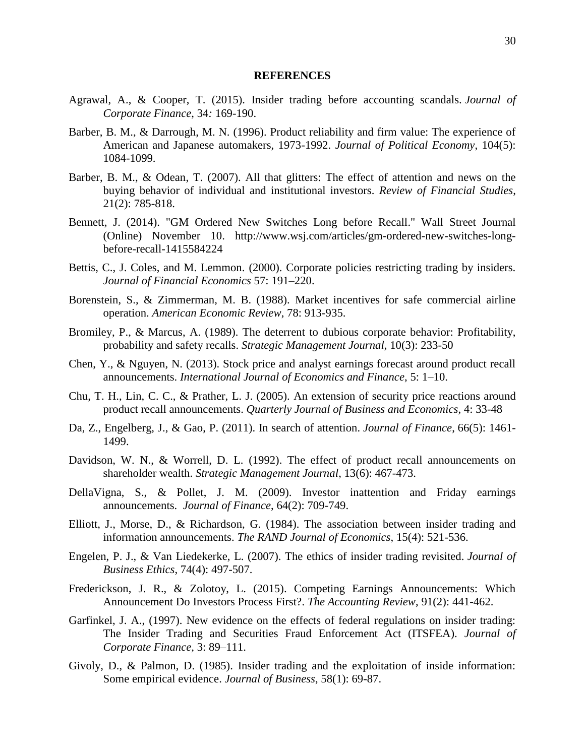#### **REFERENCES**

- Agrawal, A., & Cooper, T. (2015). Insider trading before accounting scandals. *Journal of Corporate Finance*, 34*:* 169-190.
- Barber, B. M., & Darrough, M. N. (1996). Product reliability and firm value: The experience of American and Japanese automakers, 1973-1992. *Journal of Political Economy*, 104(5): 1084-1099.
- Barber, B. M., & Odean, T. (2007). All that glitters: The effect of attention and news on the buying behavior of individual and institutional investors. *Review of Financial Studies*, 21(2): 785-818.
- Bennett, J. (2014). "GM Ordered New Switches Long before Recall." Wall Street Journal (Online) November 10. [http://www.wsj.com/articles/gm-ordered-new-switches-long](http://www.wsj.com/articles/gm-ordered-new-switches-long-before-recall-1415584224)[before-recall-1415584224](http://www.wsj.com/articles/gm-ordered-new-switches-long-before-recall-1415584224)
- Bettis, C., J. Coles, and M. Lemmon. (2000). Corporate policies restricting trading by insiders. *Journal of Financial Economics* 57: 191–220.
- Borenstein, S., & Zimmerman, M. B. (1988). Market incentives for safe commercial airline operation. *American Economic Review*, 78: 913-935.
- Bromiley, P., & Marcus, A. (1989). The deterrent to dubious corporate behavior: Profitability, probability and safety recalls. *Strategic Management Journal*, 10(3): 233-50
- Chen, Y., & Nguyen, N. (2013). Stock price and analyst earnings forecast around product recall announcements. *International Journal of Economics and Finance*, 5: 1–10.
- Chu, T. H., Lin, C. C., & Prather, L. J. (2005). An extension of security price reactions around product recall announcements. *Quarterly Journal of Business and Economics*, 4: 33-48
- Da, Z., Engelberg, J., & Gao, P. (2011). In search of attention. *Journal of Finance*, 66(5): 1461- 1499.
- Davidson, W. N., & Worrell, D. L. (1992). The effect of product recall announcements on shareholder wealth. *Strategic Management Journal*, 13(6): 467-473.
- DellaVigna, S., & Pollet, J. M. (2009). Investor inattention and Friday earnings announcements. *Journal of Finance*, 64(2): 709-749.
- Elliott, J., Morse, D., & Richardson, G. (1984). The association between insider trading and information announcements. *The RAND Journal of Economics*, 15(4): 521-536.
- Engelen, P. J., & Van Liedekerke, L. (2007). The ethics of insider trading revisited. *Journal of Business Ethics*, 74(4): 497-507.
- Frederickson, J. R., & Zolotoy, L. (2015). Competing Earnings Announcements: Which Announcement Do Investors Process First?. *The Accounting Review*, 91(2): 441-462.
- Garfinkel, J. A., (1997). New evidence on the effects of federal regulations on insider trading: The Insider Trading and Securities Fraud Enforcement Act (ITSFEA). *Journal of Corporate Finance,* 3: 89–111.
- Givoly, D., & Palmon, D. (1985). Insider trading and the exploitation of inside information: Some empirical evidence. *Journal of Business*, 58(1): 69-87.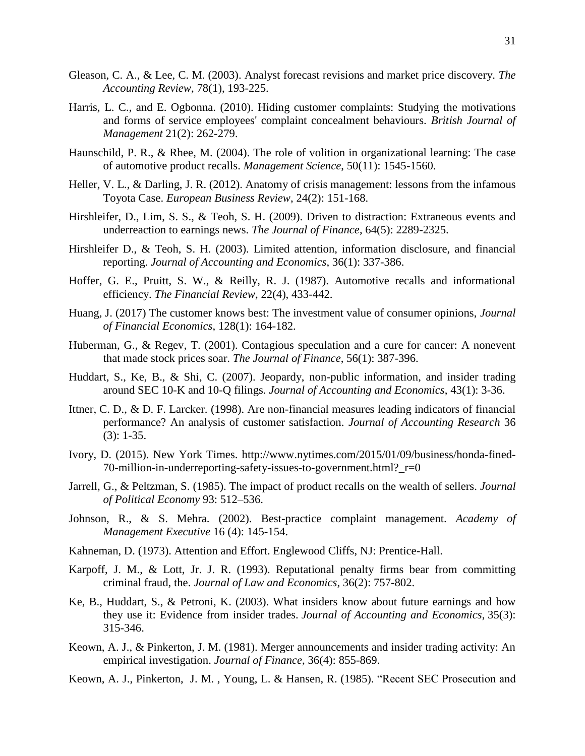- Gleason, C. A., & Lee, C. M. (2003). Analyst forecast revisions and market price discovery. *The Accounting Review*, 78(1), 193-225.
- Harris, L. C., and E. Ogbonna. (2010). [Hiding customer complaints: Studying the motivations](https://papers.ssrn.com/sol3/papers.cfm?abstract_id=1605428)  [and forms of service employees' complaint concealment behaviours.](https://papers.ssrn.com/sol3/papers.cfm?abstract_id=1605428) *British Journal of Management* 21(2): 262-279.
- Haunschild, P. R., & Rhee, M. (2004). The role of volition in organizational learning: The case of automotive product recalls. *Management Science*, 50(11): 1545-1560.
- Heller, V. L., & Darling, J. R. (2012). Anatomy of crisis management: lessons from the infamous Toyota Case. *European Business Review*, 24(2): 151-168.
- Hirshleifer, D., Lim, S. S., & Teoh, S. H. (2009). Driven to distraction: Extraneous events and underreaction to earnings news. *The Journal of Finance*, 64(5): 2289-2325.
- Hirshleifer D., & Teoh, S. H. (2003). Limited attention, information disclosure, and financial reporting. *Journal of Accounting and Economics*, 36(1): 337-386.
- Hoffer, G. E., Pruitt, S. W., & Reilly, R. J. (1987). Automotive recalls and informational efficiency. *The Financial Review*, 22(4), 433-442.
- Huang, J. (2017) The customer knows best: The investment value of consumer opinions, *Journal of Financial Economics*, 128(1): 164-182.
- Huberman, G., & Regev, T. (2001). Contagious speculation and a cure for cancer: A nonevent that made stock prices soar. *The Journal of Finance*, 56(1): 387-396.
- Huddart, S., Ke, B., & Shi, C. (2007). Jeopardy, non-public information, and insider trading around SEC 10-K and 10-Q filings. *Journal of Accounting and Economics*, 43(1): 3-36.
- Ittner, C. D., & D. F. Larcker. (1998). Are non-financial measures leading indicators of financial performance? An analysis of customer satisfaction. *Journal of Accounting Research* 36 (3): 1-35.
- Ivory, D. (2015). New York Times. [http://www.nytimes.com/2015/01/09/business/honda-fined-](http://www.nytimes.com/2015/01/09/business/honda-fined-70-million-in-underreporting-safety-issues-to-government.html?_r=0)[70-million-in-underreporting-safety-issues-to-government.html?\\_r=0](http://www.nytimes.com/2015/01/09/business/honda-fined-70-million-in-underreporting-safety-issues-to-government.html?_r=0)
- Jarrell, G., & Peltzman, S. (1985). The impact of product recalls on the wealth of sellers. *Journal of Political Economy* 93: 512–536.
- Johnson, R., & S. Mehra. (2002). Best-practice complaint management. *Academy of Management Executive* 16 (4): 145-154.
- Kahneman, D. (1973). Attention and Effort. Englewood Cliffs, NJ: Prentice-Hall.
- Karpoff, J. M., & Lott, Jr. J. R. (1993). Reputational penalty firms bear from committing criminal fraud, the. *Journal of Law and Economics*, 36(2): 757-802.
- Ke, B., Huddart, S., & Petroni, K. (2003). What insiders know about future earnings and how they use it: Evidence from insider trades. *Journal of Accounting and Economics*, 35(3): 315-346.
- Keown, A. J., & Pinkerton, J. M. (1981). Merger announcements and insider trading activity: An empirical investigation. *Journal of Finance*, 36(4): 855-869.
- Keown, A. J., Pinkerton, J. M. , Young, L. & Hansen, R. (1985). "Recent SEC Prosecution and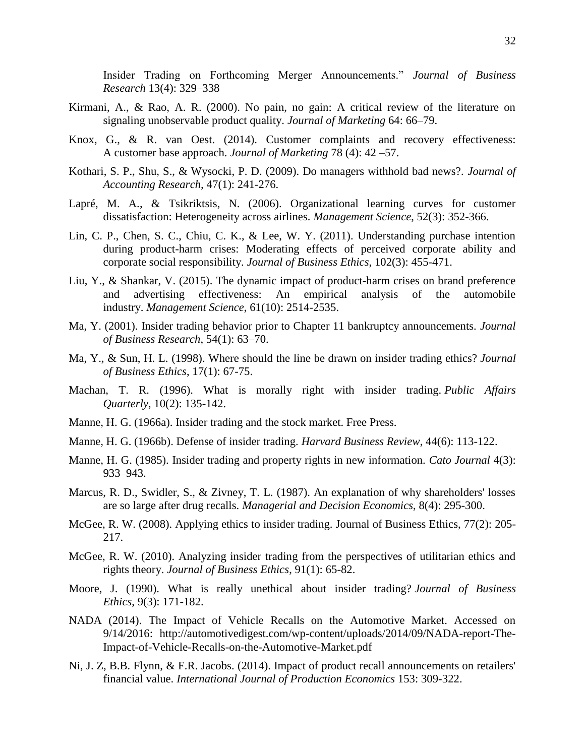Insider Trading on Forthcoming Merger Announcements." *Journal of Business Research* 13(4): 329–338

- Kirmani, A., & Rao, A. R. (2000). No pain, no gain: A critical review of the literature on signaling unobservable product quality. *Journal of Marketing* 64: 66–79.
- Knox, G., & R. van Oest. (2014). Customer complaints [and recovery effectiveness:](https://papers.ssrn.com/sol3/papers.cfm?abstract_id=1427265)  A customer [base approach.](https://papers.ssrn.com/sol3/papers.cfm?abstract_id=1427265) *Journal of Marketing* 78 (4): 42 –57.
- Kothari, S. P., Shu, S., & Wysocki, P. D. (2009). Do managers withhold bad news?. *Journal of Accounting Research,* 47(1): 241-276.
- Lapré, M. A., & Tsikriktsis, N. (2006). Organizational learning curves for customer dissatisfaction: Heterogeneity across airlines. *Management Science*, 52(3): 352-366.
- Lin, C. P., Chen, S. C., Chiu, C. K., & Lee, W. Y. (2011). Understanding purchase intention during product-harm crises: Moderating effects of perceived corporate ability and corporate social responsibility. *Journal of Business Ethics*, 102(3): 455-471.
- Liu, Y., & Shankar, V. (2015). The dynamic impact of product-harm crises on brand preference and advertising effectiveness: An empirical analysis of the automobile industry. *Management Science*, 61(10): 2514-2535.
- Ma, Y. (2001). Insider trading behavior prior to Chapter 11 bankruptcy announcements. *Journal of Business Research*, 54(1): 63–70.
- Ma, Y., & Sun, H. L. (1998). Where should the line be drawn on insider trading ethics? *Journal of Business Ethics*, 17(1): 67-75.
- Machan, T. R. (1996). What is morally right with insider trading. *Public Affairs Quarterly*, 10(2): 135-142.
- Manne, H. G. (1966a). Insider trading and the stock market. Free Press.
- Manne, H. G. (1966b). Defense of insider trading. *Harvard Business Review*, 44(6): 113-122.
- Manne, H. G. (1985). Insider trading and property rights in new information. *Cato Journal* 4(3): 933–943.
- Marcus, R. D., Swidler, S., & Zivney, T. L. (1987). An explanation of why shareholders' losses are so large after drug recalls. *Managerial and Decision Economics*, 8(4): 295-300.
- McGee, R. W. (2008). Applying ethics to insider trading. Journal of Business Ethics, 77(2): 205- 217.
- McGee, R. W. (2010). Analyzing insider trading from the perspectives of utilitarian ethics and rights theory. *Journal of Business Ethics*, 91(1): 65-82.
- Moore, J. (1990). What is really unethical about insider trading? *Journal of Business Ethics*, 9(3): 171-182.
- NADA (2014). The Impact of Vehicle Recalls on the Automotive Market. Accessed on 9/14/2016: [http://automotivedigest.com/wp-content/uploads/2014/09/NADA-report-The-](http://automotivedigest.com/wp-content/uploads/2014/09/NADA-report-The-Impact-of-Vehicle-Recalls-on-the-Automotive-Market.pdf)[Impact-of-Vehicle-Recalls-on-the-Automotive-Market.pdf](http://automotivedigest.com/wp-content/uploads/2014/09/NADA-report-The-Impact-of-Vehicle-Recalls-on-the-Automotive-Market.pdf)
- Ni, J. Z, B.B. Flynn, & F.R. Jacobs. (2014). Impact of product recall announcements on retailers' financial value. *International Journal of Production Economics* 153: 309-322.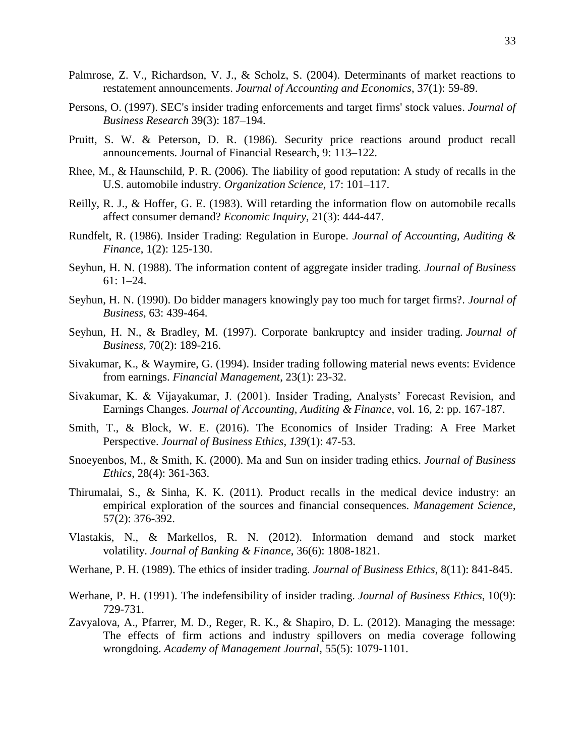- Palmrose, Z. V., Richardson, V. J., & Scholz, S. (2004). Determinants of market reactions to restatement announcements. *Journal of Accounting and Economics*, 37(1): 59-89.
- Persons, O. (1997). SEC's insider trading enforcements and target firms' stock values. *Journal of Business Research* 39(3): 187–194.
- Pruitt, S. W. & Peterson, D. R. (1986). Security price reactions around product recall announcements. Journal of Financial Research, 9: 113–122.
- Rhee, M., & Haunschild, P. R. (2006). The liability of good reputation: A study of recalls in the U.S. automobile industry. *Organization Science*, 17: 101–117.
- Reilly, R. J., & Hoffer, G. E. (1983). Will retarding the information flow on automobile recalls affect consumer demand? *Economic Inquiry*, 21(3): 444-447.
- Rundfelt, R. (1986). Insider Trading: Regulation in Europe. *Journal of Accounting, Auditing & Finance*, 1(2): 125-130.
- Seyhun, H. N. (1988). The information content of aggregate insider trading. *Journal of Business* 61: 1–24.
- Seyhun, H. N. (1990). Do bidder managers knowingly pay too much for target firms?. *Journal of Business*, 63: 439-464.
- Seyhun, H. N., & Bradley, M. (1997). Corporate bankruptcy and insider trading. *Journal of Business*, 70(2): 189-216.
- Sivakumar, K., & Waymire, G. (1994). Insider trading following material news events: Evidence from earnings. *Financial Management*, 23(1): 23-32.
- Sivakumar, K. & Vijayakumar, J. (2001). Insider Trading, Analysts' Forecast Revision, and Earnings Changes. *Journal of Accounting, Auditing & Finance*, vol. 16, 2: pp. 167-187.
- Smith, T., & Block, W. E. (2016). The Economics of Insider Trading: A Free Market Perspective. *Journal of Business Ethics*, *139*(1): 47-53.
- Snoeyenbos, M., & Smith, K. (2000). Ma and Sun on insider trading ethics. *Journal of Business Ethics*, 28(4): 361-363.
- Thirumalai, S., & Sinha, K. K. (2011). Product recalls in the medical device industry: an empirical exploration of the sources and financial consequences. *Management Science*, 57(2): 376-392.
- Vlastakis, N., & Markellos, R. N. (2012). Information demand and stock market volatility. *Journal of Banking & Finance*, 36(6): 1808-1821.
- Werhane, P. H. (1989). The ethics of insider trading. *Journal of Business Ethics*, 8(11): 841-845.
- Werhane, P. H. (1991). The indefensibility of insider trading. *Journal of Business Ethics*, 10(9): 729-731.
- Zavyalova, A., Pfarrer, M. D., Reger, R. K., & Shapiro, D. L. (2012). Managing the message: The effects of firm actions and industry spillovers on media coverage following wrongdoing. *Academy of Management Journal*, 55(5): 1079-1101.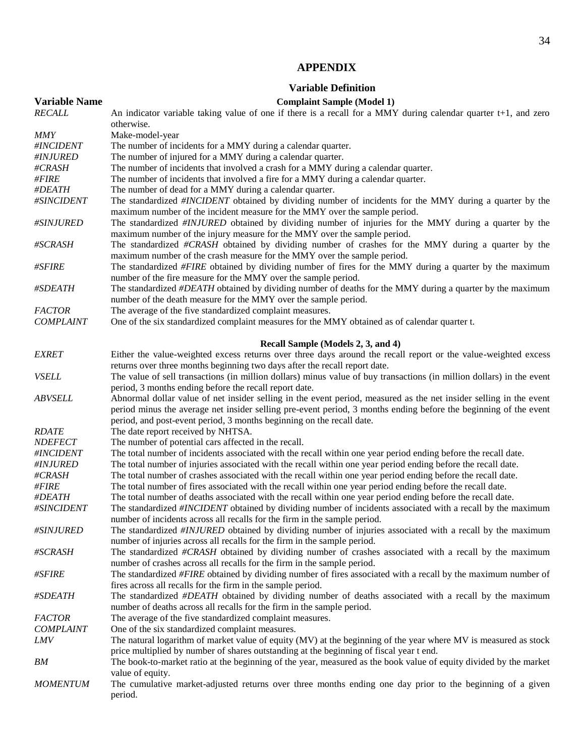# **APPENDIX**

## **Variable Definition**

| <b>Variable Name</b> | <b>Complaint Sample (Model 1)</b>                                                                                                                                                                                                                                                                               |
|----------------------|-----------------------------------------------------------------------------------------------------------------------------------------------------------------------------------------------------------------------------------------------------------------------------------------------------------------|
| <b>RECALL</b>        | An indicator variable taking value of one if there is a recall for a MMY during calendar quarter $t+1$ , and zero                                                                                                                                                                                               |
|                      | otherwise.                                                                                                                                                                                                                                                                                                      |
| <b>MMY</b>           | Make-model-year                                                                                                                                                                                                                                                                                                 |
| #INCIDENT            | The number of incidents for a MMY during a calendar quarter.                                                                                                                                                                                                                                                    |
| #INJURED             | The number of injured for a MMY during a calendar quarter.                                                                                                                                                                                                                                                      |
| #CRASH               | The number of incidents that involved a crash for a MMY during a calendar quarter.                                                                                                                                                                                                                              |
| #FIRE                | The number of incidents that involved a fire for a MMY during a calendar quarter.                                                                                                                                                                                                                               |
| #DEATH               | The number of dead for a MMY during a calendar quarter.                                                                                                                                                                                                                                                         |
| #SINCIDENT           | The standardized #INCIDENT obtained by dividing number of incidents for the MMY during a quarter by the<br>maximum number of the incident measure for the MMY over the sample period.                                                                                                                           |
| #SINJURED            | The standardized #INJURED obtained by dividing number of injuries for the MMY during a quarter by the<br>maximum number of the injury measure for the MMY over the sample period.                                                                                                                               |
| #SCRASH              | The standardized #CRASH obtained by dividing number of crashes for the MMY during a quarter by the<br>maximum number of the crash measure for the MMY over the sample period.                                                                                                                                   |
| #SFIRE               | The standardized #FIRE obtained by dividing number of fires for the MMY during a quarter by the maximum<br>number of the fire measure for the MMY over the sample period.                                                                                                                                       |
| #SDEATH              | The standardized #DEATH obtained by dividing number of deaths for the MMY during a quarter by the maximum<br>number of the death measure for the MMY over the sample period.                                                                                                                                    |
| <b>FACTOR</b>        | The average of the five standardized complaint measures.                                                                                                                                                                                                                                                        |
| <b>COMPLAINT</b>     | One of the six standardized complaint measures for the MMY obtained as of calendar quarter t.                                                                                                                                                                                                                   |
|                      | Recall Sample (Models 2, 3, and 4)                                                                                                                                                                                                                                                                              |
| <b>EXRET</b>         | Either the value-weighted excess returns over three days around the recall report or the value-weighted excess                                                                                                                                                                                                  |
|                      | returns over three months beginning two days after the recall report date.                                                                                                                                                                                                                                      |
| <b>VSELL</b>         | The value of sell transactions (in million dollars) minus value of buy transactions (in million dollars) in the event<br>period, 3 months ending before the recall report date.                                                                                                                                 |
| <b>ABVSELL</b>       | Abnormal dollar value of net insider selling in the event period, measured as the net insider selling in the event<br>period minus the average net insider selling pre-event period, 3 months ending before the beginning of the event<br>period, and post-event period, 3 months beginning on the recall date. |
| <b>RDATE</b>         | The date report received by NHTSA.                                                                                                                                                                                                                                                                              |
| <b>NDEFECT</b>       | The number of potential cars affected in the recall.                                                                                                                                                                                                                                                            |
| #INCIDENT            | The total number of incidents associated with the recall within one year period ending before the recall date.                                                                                                                                                                                                  |
| #INJURED             | The total number of injuries associated with the recall within one year period ending before the recall date.                                                                                                                                                                                                   |
| #CRASH               | The total number of crashes associated with the recall within one year period ending before the recall date.                                                                                                                                                                                                    |
| #FIRE                | The total number of fires associated with the recall within one year period ending before the recall date.                                                                                                                                                                                                      |
| #DEATH               | The total number of deaths associated with the recall within one year period ending before the recall date.                                                                                                                                                                                                     |
| #SINCIDENT           | The standardized #INCIDENT obtained by dividing number of incidents associated with a recall by the maximum<br>number of incidents across all recalls for the firm in the sample period.                                                                                                                        |
| #SINJURED            | The standardized #INJURED obtained by dividing number of injuries associated with a recall by the maximum<br>number of injuries across all recalls for the firm in the sample period.                                                                                                                           |
| #SCRASH              | The standardized #CRASH obtained by dividing number of crashes associated with a recall by the maximum<br>number of crashes across all recalls for the firm in the sample period.                                                                                                                               |
| #SFIRE               | The standardized #FIRE obtained by dividing number of fires associated with a recall by the maximum number of<br>fires across all recalls for the firm in the sample period.                                                                                                                                    |
| #SDEATH              | The standardized #DEATH obtained by dividing number of deaths associated with a recall by the maximum<br>number of deaths across all recalls for the firm in the sample period.                                                                                                                                 |
| <b>FACTOR</b>        | The average of the five standardized complaint measures.                                                                                                                                                                                                                                                        |
| <b>COMPLAINT</b>     | One of the six standardized complaint measures.                                                                                                                                                                                                                                                                 |
| <b>LMV</b>           | The natural logarithm of market value of equity (MV) at the beginning of the year where MV is measured as stock                                                                                                                                                                                                 |
|                      | price multiplied by number of shares outstanding at the beginning of fiscal year t end.                                                                                                                                                                                                                         |
| BM                   | The book-to-market ratio at the beginning of the year, measured as the book value of equity divided by the market<br>value of equity.                                                                                                                                                                           |
| <b>MOMENTUM</b>      | The cumulative market-adjusted returns over three months ending one day prior to the beginning of a given<br>period.                                                                                                                                                                                            |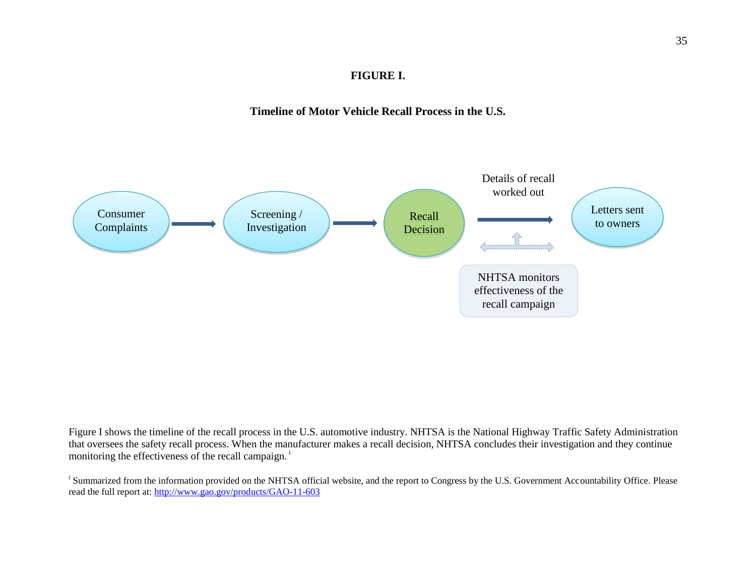# **FIGURE I.**

# **Timeline of Motor Vehicle Recall Process in the U.S.**



Figure I shows the timeline of the recall process in the U.S. automotive industry. NHTSA is the National Highway Traffic Safety Administration that oversees the safety recall process. When the manufacturer makes a recall decision, NHTSA concludes their investigation and they continue monitoring the effectiveness of the recall campaign.<sup>i</sup>

<sup>i</sup> Summarized from the information provided on the NHTSA official website, and the report to Congress by the U.S. Government Accountability Office. Please read the full report at[: http://www.gao.gov/products/GAO-11-603](http://www.gao.gov/products/GAO-11-603)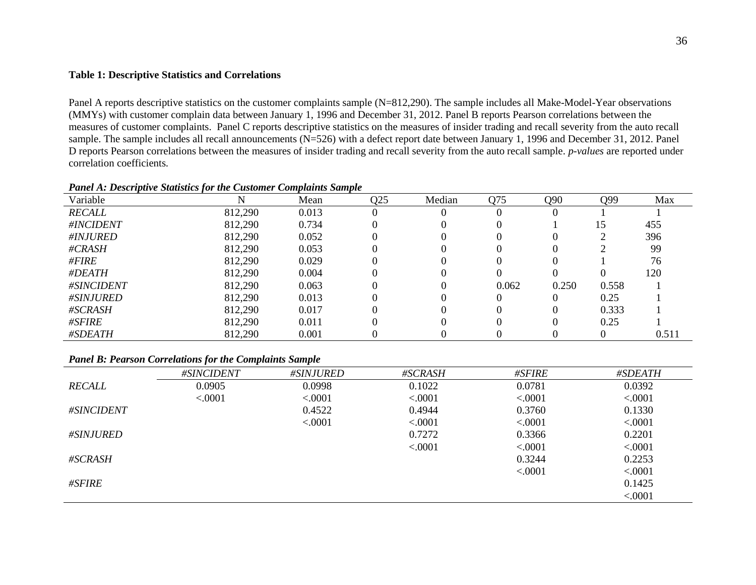#### **Table 1: Descriptive Statistics and Correlations**

Panel A reports descriptive statistics on the customer complaints sample (N=812,290). The sample includes all Make-Model-Year observations (MMYs) with customer complain data between January 1, 1996 and December 31, 2012. Panel B reports Pearson correlations between the measures of customer complaints. Panel C reports descriptive statistics on the measures of insider trading and recall severity from the auto recall sample. The sample includes all recall announcements (N=526) with a defect report date between January 1, 1996 and December 31, 2012. Panel D reports Pearson correlations between the measures of insider trading and recall severity from the auto recall sample. *p-values* are reported under correlation coefficients.

| Variable      |         | Mean  | Q25 | Median | Q75   | Q90   | Q99   | Max   |
|---------------|---------|-------|-----|--------|-------|-------|-------|-------|
| <b>RECALL</b> | 812,290 | 0.013 |     |        |       |       |       |       |
| #INCIDENT     | 812,290 | 0.734 |     |        |       |       | 15    | 455   |
| #INJURED      | 812,290 | 0.052 |     |        |       |       |       | 396   |
| #CRASH        | 812,290 | 0.053 |     |        |       |       |       | 99    |
| #FIRE         | 812,290 | 0.029 |     |        |       |       |       | 76    |
| #DEATH        | 812,290 | 0.004 |     |        |       |       |       | 120   |
| #SINCIDENT    | 812,290 | 0.063 |     |        | 0.062 | 0.250 | 0.558 |       |
| #SINJURED     | 812,290 | 0.013 |     |        |       |       | 0.25  |       |
| #SCRASH       | 812,290 | 0.017 |     |        |       |       | 0.333 |       |
| #SFIRE        | 812,290 | 0.011 |     |        |       |       | 0.25  |       |
| #SDEATH       | 812,290 | 0.001 |     |        |       |       |       | 0.511 |

#### *Panel A: Descriptive Statistics for the Customer Complaints Sample*

#### *Panel B: Pearson Correlations for the Complaints Sample*

|                  | #SINCIDENT | #SINJURED | #SCRASH | #SFIRE  | #SDEATH |
|------------------|------------|-----------|---------|---------|---------|
| RECALL           | 0.0905     | 0.0998    | 0.1022  | 0.0781  | 0.0392  |
|                  | < .0001    | < .0001   | < .0001 | < .0001 | < .0001 |
| #SINCIDENT       |            | 0.4522    | 0.4944  | 0.3760  | 0.1330  |
|                  |            | < .0001   | < .0001 | < .0001 | < .0001 |
| <i>#SINJURED</i> |            |           | 0.7272  | 0.3366  | 0.2201  |
|                  |            |           | < .0001 | < .0001 | < .0001 |
| #SCRASH          |            |           |         | 0.3244  | 0.2253  |
|                  |            |           |         | < .0001 | < .0001 |
| #SFIRE           |            |           |         |         | 0.1425  |
|                  |            |           |         |         | < .0001 |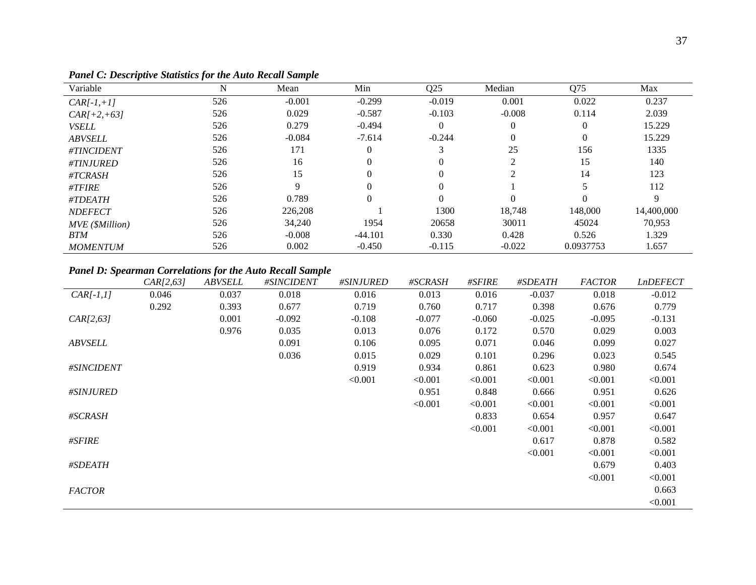| Variable        | N   | Mean     | Min       | Q <sub>25</sub> | Median   | Q75       | Max        |
|-----------------|-----|----------|-----------|-----------------|----------|-----------|------------|
| $CAR[-1,+1]$    | 526 | $-0.001$ | $-0.299$  | $-0.019$        | 0.001    | 0.022     | 0.237      |
| $CAR[+2,+63]$   | 526 | 0.029    | $-0.587$  | $-0.103$        | $-0.008$ | 0.114     | 2.039      |
| <b>VSELL</b>    | 526 | 0.279    | $-0.494$  | $\theta$        |          | $\Omega$  | 15.229     |
| <b>ABVSELL</b>  | 526 | $-0.084$ | $-7.614$  | $-0.244$        |          | $\theta$  | 15.229     |
| #TINCIDENT      | 526 | 171      |           | 3               | 25       | 156       | 1335       |
| #TINJURED       | 526 | 16       |           |                 | ◠        | 15        | 140        |
| #TCRASH         | 526 | 15       |           |                 | ◠        | 14        | 123        |
| #TFIRE          | 526 | Q        |           | $\Omega$        |          |           | 112        |
| #TDEATH         | 526 | 0.789    |           |                 |          | $\Omega$  | 9          |
| <b>NDEFECT</b>  | 526 | 226,208  |           | 1300            | 18,748   | 148,000   | 14,400,000 |
| MVE (\$Million) | 526 | 34,240   | 1954      | 20658           | 30011    | 45024     | 70,953     |
| <b>BTM</b>      | 526 | $-0.008$ | $-44.101$ | 0.330           | 0.428    | 0.526     | 1.329      |
| <b>MOMENTUM</b> | 526 | 0.002    | $-0.450$  | $-0.115$        | $-0.022$ | 0.0937753 | 1.657      |

*Panel C: Descriptive Statistics for the Auto Recall Sample*

# *Panel D: Spearman Correlations for the Auto Recall Sample*

|                  | CAR[2, 63] | <b>ABVSELL</b> | #SINCIDENT | <i>#SINJURED</i> | #SCRASH  | #SFIRE   | #SDEATH  | <b>FACTOR</b> | LnDEFECT |
|------------------|------------|----------------|------------|------------------|----------|----------|----------|---------------|----------|
| $CAR[-1,1]$      | 0.046      | 0.037          | 0.018      | 0.016            | 0.013    | 0.016    | $-0.037$ | 0.018         | $-0.012$ |
|                  | 0.292      | 0.393          | 0.677      | 0.719            | 0.760    | 0.717    | 0.398    | 0.676         | 0.779    |
| CAR[2, 63]       |            | 0.001          | $-0.092$   | $-0.108$         | $-0.077$ | $-0.060$ | $-0.025$ | $-0.095$      | $-0.131$ |
|                  |            | 0.976          | 0.035      | 0.013            | 0.076    | 0.172    | 0.570    | 0.029         | 0.003    |
| <b>ABVSELL</b>   |            |                | 0.091      | 0.106            | 0.095    | 0.071    | 0.046    | 0.099         | 0.027    |
|                  |            |                | 0.036      | 0.015            | 0.029    | 0.101    | 0.296    | 0.023         | 0.545    |
| #SINCIDENT       |            |                |            | 0.919            | 0.934    | 0.861    | 0.623    | 0.980         | 0.674    |
|                  |            |                |            | < 0.001          | < 0.001  | < 0.001  | < 0.001  | < 0.001       | < 0.001  |
| <i>#SINJURED</i> |            |                |            |                  | 0.951    | 0.848    | 0.666    | 0.951         | 0.626    |
|                  |            |                |            |                  | < 0.001  | < 0.001  | < 0.001  | < 0.001       | < 0.001  |
| #SCRASH          |            |                |            |                  |          | 0.833    | 0.654    | 0.957         | 0.647    |
|                  |            |                |            |                  |          | < 0.001  | < 0.001  | < 0.001       | < 0.001  |
| #SFIRE           |            |                |            |                  |          |          | 0.617    | 0.878         | 0.582    |
|                  |            |                |            |                  |          |          | < 0.001  | < 0.001       | < 0.001  |
| #SDEATH          |            |                |            |                  |          |          |          | 0.679         | 0.403    |
|                  |            |                |            |                  |          |          |          | < 0.001       | < 0.001  |
| <b>FACTOR</b>    |            |                |            |                  |          |          |          |               | 0.663    |
|                  |            |                |            |                  |          |          |          |               | < 0.001  |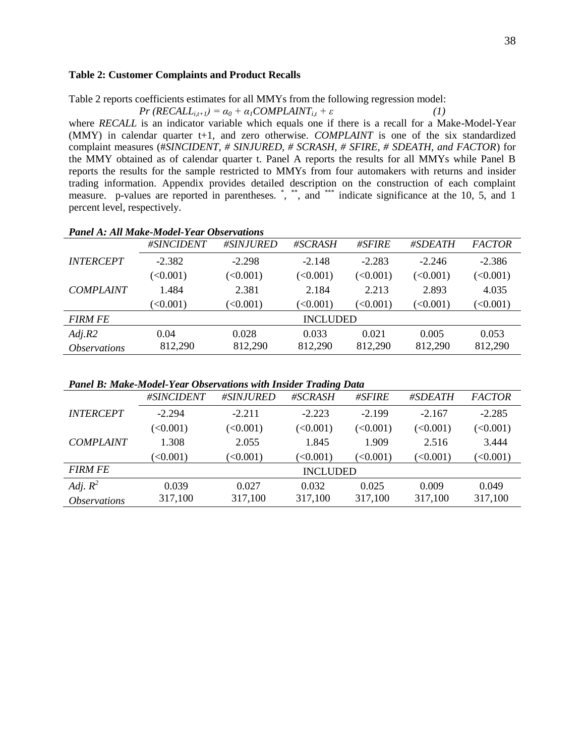#### **Table 2: Customer Complaints and Product Recalls**

Table 2 reports coefficients estimates for all MMYs from the following regression model:

$$
Pr(RECALL_{i,t+1}) = \alpha_0 + \alpha_1 COMPLANT_{i,t} + \varepsilon
$$
 (1)

where *RECALL* is an indicator variable which equals one if there is a recall for a Make-Model-Year (MMY) in calendar quarter t+1, and zero otherwise. *COMPLAINT* is one of the six standardized complaint measures (#*SINCIDENT, # SINJURED, # SCRASH, # SFIRE, # SDEATH, and FACTOR*) for the MMY obtained as of calendar quarter t. Panel A reports the results for all MMYs while Panel B reports the results for the sample restricted to MMYs from four automakers with returns and insider trading information. Appendix provides detailed description on the construction of each complaint measure. p-values are reported in parentheses. ", "", and """ indicate significance at the 10, 5, and 1 percent level, respectively.

|                            | #SINCIDENT | #SINJURED    | #SCRASH         | #SFIRE   | #SDEATH  | <b>FACTOR</b> |
|----------------------------|------------|--------------|-----------------|----------|----------|---------------|
| <b>INTERCEPT</b>           | $-2.382$   | $-2.298$     | $-2.148$        | $-2.283$ | $-2.246$ | $-2.386$      |
|                            | (<0.001)   | (<0.001)     | (<0.001)        | (<0.001) | (<0.001) | (<0.001)      |
| <b>COMPLAINT</b>           | 1.484      | 2.381        | 2.184           | 2.213    | 2.893    | 4.035         |
|                            | (<0.001)   | $\leq 0.001$ | (<0.001)        | (<0.001) | (<0.001) | (<0.001)      |
| <b>FIRM FE</b>             |            |              | <b>INCLUDED</b> |          |          |               |
| Adj.R2                     | 0.04       | 0.028        | 0.033           | 0.021    | 0.005    | 0.053         |
| <i><b>Observations</b></i> | 812,290    | 812,290      | 812,290         | 812,290  | 812,290  | 812,290       |
|                            |            |              |                 |          |          |               |

### *Panel A: All Make-Model-Year Observations*

*Panel B: Make-Model-Year Observations with Insider Trading Data*

|                            | #SINCIDENT | #SINJURED | #SCRASH         | #SFIRE   | #SDEATH  | <b>FACTOR</b> |
|----------------------------|------------|-----------|-----------------|----------|----------|---------------|
| <b>INTERCEPT</b>           | $-2.294$   | $-2.211$  | $-2.223$        | $-2.199$ | $-2.167$ | $-2.285$      |
|                            | (<0.001)   | (<0.001)  | (<0.001)        | (<0.001) | (<0.001) | (<0.001)      |
| <b>COMPLAINT</b>           | 1.308      | 2.055     | 1.845           | 1.909    | 2.516    | 3.444         |
|                            | (<0.001)   | (<0.001)  | (<0.001)        | (<0.001) | (<0.001) | (<0.001)      |
| <b>FIRM FE</b>             |            |           | <b>INCLUDED</b> |          |          |               |
| Adj. $R^2$                 | 0.039      | 0.027     | 0.032           | 0.025    | 0.009    | 0.049         |
| <i><b>Observations</b></i> | 317,100    | 317,100   | 317,100         | 317,100  | 317,100  | 317,100       |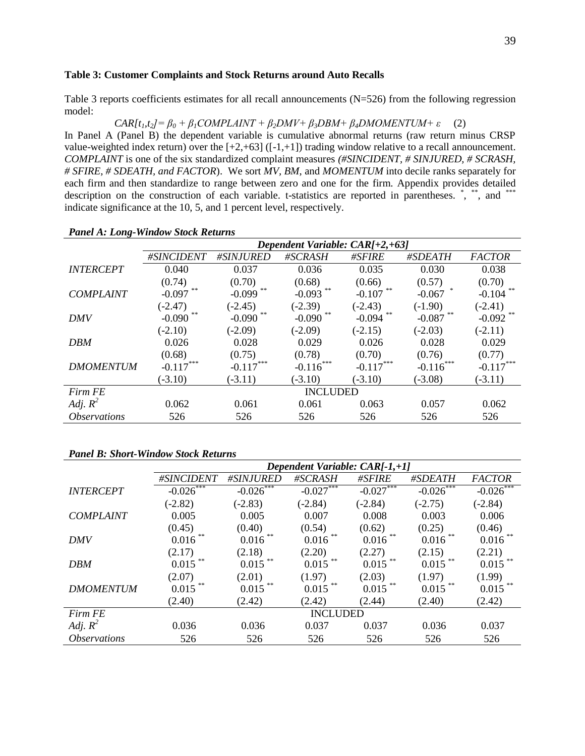#### **Table 3: Customer Complaints and Stock Returns around Auto Recalls**

Table 3 reports coefficients estimates for all recall announcements (N=526) from the following regression model:

*CAR[t1,t2]= β<sup>0</sup> + β1COMPLAINT + β2DMV+ β3DBM+ β4DMOMENTUM+ ε* (2)

In Panel A (Panel B) the dependent variable is cumulative abnormal returns (raw return minus CRSP value-weighted index return) over the  $[-2, +63]$  ( $[-1, +1]$ ) trading window relative to a recall announcement. *COMPLAINT* is one of the six standardized complaint measures *(#SINCIDENT, # SINJURED, # SCRASH, # SFIRE, # SDEATH, and FACTOR*). We sort *MV, BM*, and *MOMENTUM* into decile ranks separately for each firm and then standardize to range between zero and one for the firm. Appendix provides detailed description on the construction of each variable. t-statistics are reported in parentheses. \*, \*\*, and \*\*\* indicate significance at the 10, 5, and 1 percent level, respectively.

|                            | Dependent Variable: CAR/+2,+63] |             |                 |             |             |               |  |  |
|----------------------------|---------------------------------|-------------|-----------------|-------------|-------------|---------------|--|--|
|                            | #SINCIDENT                      | #SINJURED   | #SCRASH         | #SFIRE      | #SDEATH     | <b>FACTOR</b> |  |  |
| <b>INTERCEPT</b>           | 0.040                           | 0.037       | 0.036           | 0.035       | 0.030       | 0.038         |  |  |
|                            | (0.74)                          | (0.70)      | (0.68)          | (0.66)      | (0.57)      | (0.70)        |  |  |
| <b>COMPLAINT</b>           | $-0.097$                        | $-0.099$    | $-0.093$        | $-0.107$    | $-0.067$    | $-0.104$      |  |  |
|                            | $(-2.47)$                       | $(-2.45)$   | $(-2.39)$       | $(-2.43)$   | $(-1.90)$   | $(-2.41)$     |  |  |
| <b>DMV</b>                 | $-0.090$                        | $-0.090$    | $-0.090$        | $-0.094$    | $-0.087$    | $-0.092$      |  |  |
|                            | $(-2.10)$                       | $(-2.09)$   | $(-2.09)$       | $(-2.15)$   | $(-2.03)$   | $(-2.11)$     |  |  |
| <b>DBM</b>                 | 0.026                           | 0.028       | 0.029           | 0.026       | 0.028       | 0.029         |  |  |
|                            | (0.68)                          | (0.75)      | (0.78)          | (0.70)      | (0.76)      | (0.77)        |  |  |
| <b>DMOMENTUM</b>           | $-0.117***$                     | $-0.117***$ | $-0.116***$     | $-0.117***$ | $-0.116***$ | $-0.117***$   |  |  |
|                            | $(-3.10)$                       | $(-3.11)$   | $(-3.10)$       | $(-3.10)$   | $(-3.08)$   | $(-3.11)$     |  |  |
| Firm FE                    |                                 |             | <b>INCLUDED</b> |             |             |               |  |  |
| Adj. $R^2$                 | 0.062                           | 0.061       | 0.061           | 0.063       | 0.057       | 0.062         |  |  |
| <i><b>Observations</b></i> | 526                             | 526         | 526             | 526         | 526         | 526           |  |  |

#### *Panel A: Long-Window Stock Returns*

#### *Panel B: Short-Window Stock Returns*

|                            |              |              | Dependent Variable: CAR[-1,+1] |            |              |                         |
|----------------------------|--------------|--------------|--------------------------------|------------|--------------|-------------------------|
|                            | #SINCIDENT   | #SINJURED    | #SCRASH                        | #SFIRE     | #SDEATH      | <b>FACTOR</b>           |
| <b>INTERCEPT</b>           | $-0.026$ *** | $-0.026$ *** | $-0.027$                       | $-0.027$   | $-0.026$ *** | $-0.026$ <sup>***</sup> |
|                            | $(-2.82)$    | $(-2.83)$    | $(-2.84)$                      | $(-2.84)$  | $(-2.75)$    | $(-2.84)$               |
| <b>COMPLAINT</b>           | 0.005        | 0.005        | 0.007                          | 0.008      | 0.003        | 0.006                   |
|                            | (0.45)       | (0.40)       | (0.54)                         | (0.62)     | (0.25)       | (0.46)                  |
| <b>DMV</b>                 | 0.016        | 0.016        | $0.016$ **                     | $0.016$ ** | 0.016        | 0.016                   |
|                            | (2.17)       | (2.18)       | (2.20)                         | (2.27)     | (2.15)       | (2.21)                  |
| <b>DBM</b>                 | 0.015        | $0.015$ **   | $0.015$ **                     | $0.015$ ** | 0.015        | 0.015                   |
|                            | (2.07)       | (2.01)       | (1.97)                         | (2.03)     | (1.97)       | (1.99)                  |
| <b>DMOMENTUM</b>           | 0.015        | 0.015        | 0.015                          | $0.015$ ** | 0.015        | 0.015                   |
|                            | (2.40)       | (2.42)       | (2.42)                         | (2.44)     | (2.40)       | (2.42)                  |
| Firm FE                    |              |              | <b>INCLUDED</b>                |            |              |                         |
| Adj. $R^2$                 | 0.036        | 0.036        | 0.037                          | 0.037      | 0.036        | 0.037                   |
| <i><b>Observations</b></i> | 526          | 526          | 526                            | 526        | 526          | 526                     |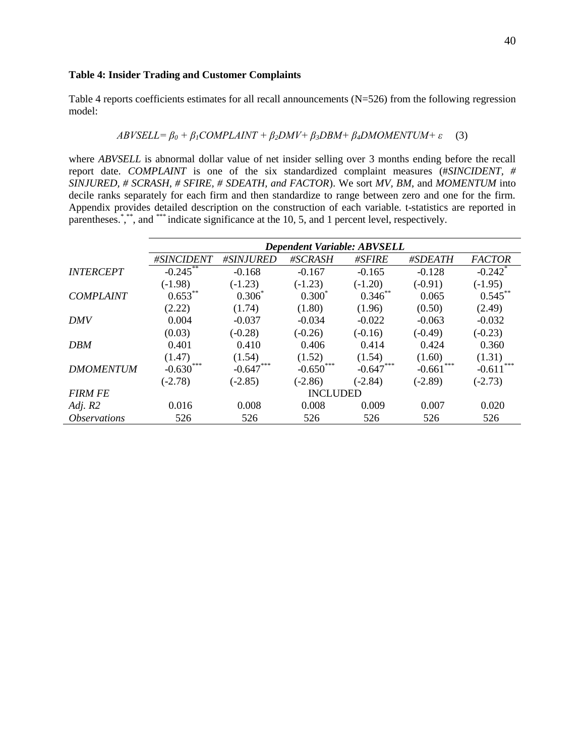#### **Table 4: Insider Trading and Customer Complaints**

Table 4 reports coefficients estimates for all recall announcements (N=526) from the following regression model:

$$
ABVSELL = \beta_0 + \beta_1 COMPLANT + \beta_2 DMV + \beta_3 DBM + \beta_4 DMOMENTUM + \varepsilon \quad (3)
$$

where *ABVSELL* is abnormal dollar value of net insider selling over 3 months ending before the recall report date. *COMPLAINT* is one of the six standardized complaint measures (#*SINCIDENT, # SINJURED, # SCRASH, # SFIRE, # SDEATH, and FACTOR*). We sort *MV, BM*, and *MOMENTUM* into decile ranks separately for each firm and then standardize to range between zero and one for the firm. Appendix provides detailed description on the construction of each variable. t-statistics are reported in parentheses.<sup>\*</sup>,\*\*, and \*\*\* indicate significance at the 10, 5, and 1 percent level, respectively.

|                            | <b>Dependent Variable: ABVSELL</b> |             |                 |             |           |                       |  |  |
|----------------------------|------------------------------------|-------------|-----------------|-------------|-----------|-----------------------|--|--|
|                            | #SINCIDENT                         | #SINJURED   | #SCRASH         | #SFIRE      | #SDEATH   | <b>FACTOR</b>         |  |  |
| <b>INTERCEPT</b>           | $-0.245$ **                        | $-0.168$    | $-0.167$        | $-0.165$    | $-0.128$  | $-0.242$ <sup>*</sup> |  |  |
|                            | $(-1.98)$                          | $(-1.23)$   | $(-1.23)$       | $(-1.20)$   | $(-0.91)$ | $(-1.95)$             |  |  |
| <b>COMPLAINT</b>           | $0.653***$                         | $0.306*$    | $0.300^*$       | $0.346$ **  | 0.065     | $0.545***$            |  |  |
|                            | (2.22)                             | (1.74)      | (1.80)          | (1.96)      | (0.50)    | (2.49)                |  |  |
| <b>DMV</b>                 | 0.004                              | $-0.037$    | $-0.034$        | $-0.022$    | $-0.063$  | $-0.032$              |  |  |
|                            | (0.03)                             | $(-0.28)$   | $(-0.26)$       | $(-0.16)$   | $(-0.49)$ | $(-0.23)$             |  |  |
| <b>DBM</b>                 | 0.401                              | 0.410       | 0.406           | 0.414       | 0.424     | 0.360                 |  |  |
|                            | (1.47)                             | (1.54)      | (1.52)          | (1.54)      | (1.60)    | (1.31)                |  |  |
| <b>DMOMENTUM</b>           | ***<br>$-0.630$                    | $-0.647***$ | $-0.650$        | $-0.647***$ | $-0.661$  | ***<br>$-0.611$       |  |  |
|                            | $(-2.78)$                          | $(-2.85)$   | $(-2.86)$       | $(-2.84)$   | $(-2.89)$ | $(-2.73)$             |  |  |
| <b>FIRM FE</b>             |                                    |             | <b>INCLUDED</b> |             |           |                       |  |  |
| Adj. $R2$                  | 0.016                              | 0.008       | 0.008           | 0.009       | 0.007     | 0.020                 |  |  |
| <i><b>Observations</b></i> | 526                                | 526         | 526             | 526         | 526       | 526                   |  |  |